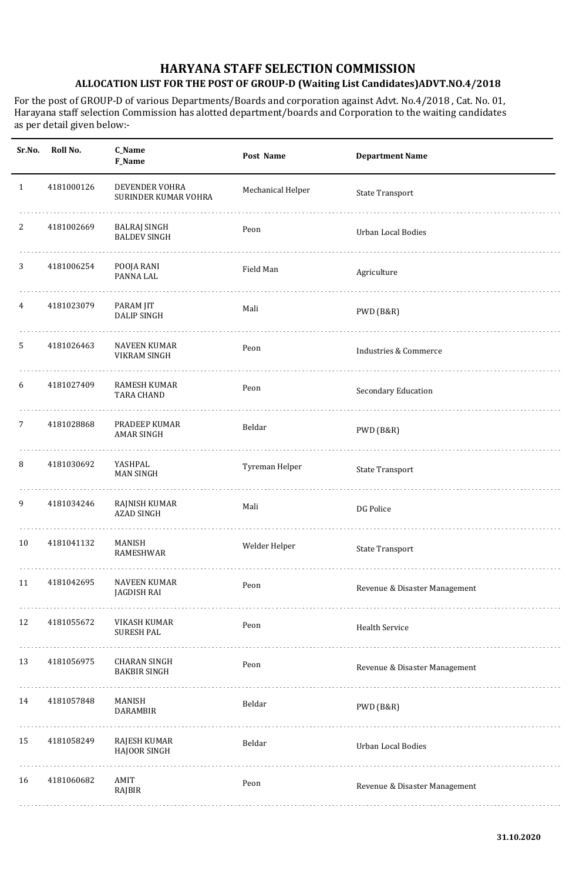| Sr.No.       | Roll No.   | C_Name<br>F_Name                           | Post Name         | <b>Department Name</b>        |
|--------------|------------|--------------------------------------------|-------------------|-------------------------------|
| $\mathbf{1}$ | 4181000126 | DEVENDER VOHRA<br>SURINDER KUMAR VOHRA     | Mechanical Helper | <b>State Transport</b>        |
| 2            | 4181002669 | BALRAJ SINGH<br><b>BALDEV SINGH</b>        | Peon              | <b>Urban Local Bodies</b>     |
| 3            | 4181006254 | POOJA RANI<br>PANNA LAL                    | Field Man         | Agriculture                   |
| 4            | 4181023079 | PARAM JIT<br><b>DALIP SINGH</b>            | Mali              | PWD (B&R)                     |
| 5            | 4181026463 | NAVEEN KUMAR<br>VIKRAM SINGH               | Peon              | Industries & Commerce         |
| 6            | 4181027409 | RAMESH KUMAR<br><b>TARA CHAND</b>          | Peon              | Secondary Education           |
| 7            | 4181028868 | PRADEEP KUMAR<br><b>AMAR SINGH</b>         | Beldar            | PWD (B&R)                     |
| 8            | 4181030692 | YASHPAL<br><b>MAN SINGH</b>                | Tyreman Helper    | <b>State Transport</b>        |
| 9            | 4181034246 | RAJNISH KUMAR<br><b>AZAD SINGH</b>         | Mali              | DG Police                     |
| 10           | 4181041132 | MANISH<br>RAMESHWAR                        | Welder Helper     | <b>State Transport</b>        |
| 11           | 4181042695 | NAVEEN KUMAR<br><b>JAGDISH RAI</b>         | Peon              | Revenue & Disaster Management |
| 12           | 4181055672 | VIKASH KUMAR<br><b>SURESH PAL</b>          | Peon              | <b>Health Service</b>         |
| 13           | 4181056975 | <b>CHARAN SINGH</b><br><b>BAKBIR SINGH</b> | Peon              | Revenue & Disaster Management |
| 14           | 4181057848 | MANISH<br>DARAMBIR                         | Beldar            | PWD (B&R)                     |
| 15           | 4181058249 | RAJESH KUMAR<br>HAJOOR SINGH               | Beldar            | <b>Urban Local Bodies</b>     |
| 16           | 4181060682 | AMIT<br>RAJBIR                             | Peon              | Revenue & Disaster Management |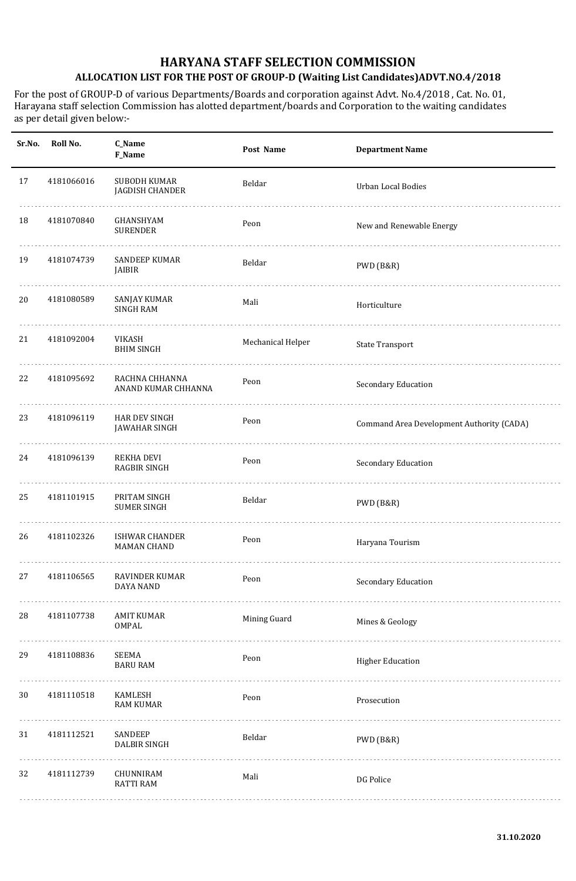| Sr.No. | Roll No.   | C_Name<br>F_Name                            | Post Name         | <b>Department Name</b>                    |
|--------|------------|---------------------------------------------|-------------------|-------------------------------------------|
| 17     | 4181066016 | SUBODH KUMAR<br>JAGDISH CHANDER             | Beldar            | <b>Urban Local Bodies</b>                 |
| 18     | 4181070840 | GHANSHYAM<br><b>SURENDER</b>                | Peon              | New and Renewable Energy                  |
| 19     | 4181074739 | SANDEEP KUMAR<br>JAIBIR                     | Beldar            | PWD (B&R)                                 |
| 20     | 4181080589 | SANJAY KUMAR<br><b>SINGH RAM</b>            | Mali              | Horticulture                              |
| 21     | 4181092004 | VIKASH<br><b>BHIM SINGH</b>                 | Mechanical Helper | <b>State Transport</b>                    |
| 22     | 4181095692 | RACHNA CHHANNA<br>ANAND KUMAR CHHANNA       | Peon              | Secondary Education                       |
| 23     | 4181096119 | HAR DEV SINGH<br><b>JAWAHAR SINGH</b>       | Peon              | Command Area Development Authority (CADA) |
| 24     | 4181096139 | REKHA DEVI<br><b>RAGBIR SINGH</b>           | Peon              | Secondary Education                       |
| 25     | 4181101915 | PRITAM SINGH<br><b>SUMER SINGH</b>          | Beldar            | PWD (B&R)                                 |
| 26     | 4181102326 | <b>ISHWAR CHANDER</b><br><b>MAMAN CHAND</b> | Peon              | Haryana Tourism                           |
| 27     | 4181106565 | RAVINDER KUMAR<br>DAYA NAND                 | Peon              | Secondary Education                       |
| 28     | 4181107738 | <b>AMIT KUMAR</b><br>OMPAL                  | Mining Guard      | Mines & Geology                           |
| 29     | 4181108836 | SEEMA<br><b>BARU RAM</b>                    | Peon              | <b>Higher Education</b>                   |
| 30     | 4181110518 | KAMLESH<br><b>RAM KUMAR</b>                 | Peon              | Prosecution                               |
| 31     | 4181112521 | SANDEEP<br><b>DALBIR SINGH</b>              | Beldar            | PWD (B&R)                                 |
| 32     | 4181112739 | CHUNNIRAM<br><b>RATTI RAM</b>               | Mali              | DG Police                                 |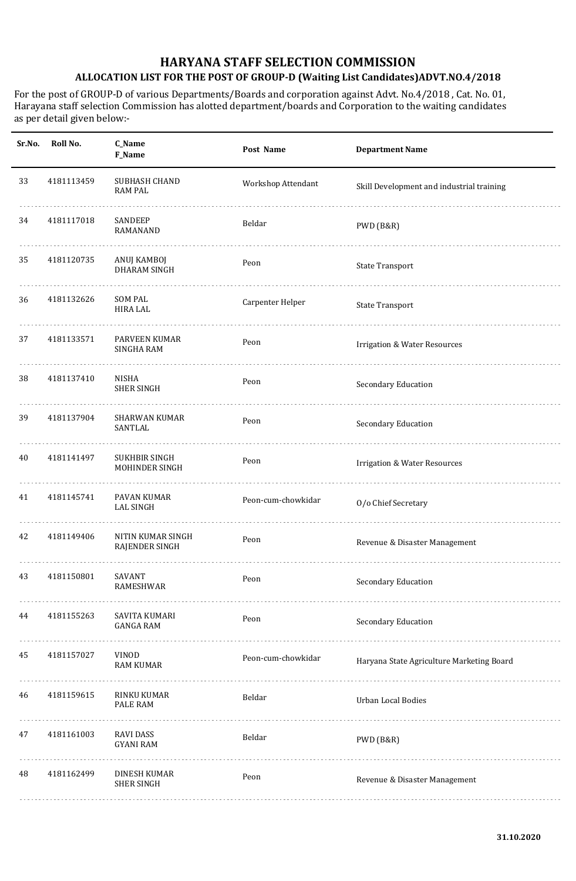| Sr.No. | Roll No.   | C_Name<br>F_Name                     | Post Name          | <b>Department Name</b>                    |
|--------|------------|--------------------------------------|--------------------|-------------------------------------------|
| 33     | 4181113459 | SUBHASH CHAND<br><b>RAM PAL</b>      | Workshop Attendant | Skill Development and industrial training |
| 34     | 4181117018 | SANDEEP<br>RAMANAND                  | Beldar             | PWD (B&R)                                 |
| 35     | 4181120735 | ANUJ KAMBOJ<br><b>DHARAM SINGH</b>   | Peon               | <b>State Transport</b>                    |
| 36     | 4181132626 | <b>SOM PAL</b><br><b>HIRA LAL</b>    | Carpenter Helper   | <b>State Transport</b>                    |
| 37     | 4181133571 | PARVEEN KUMAR<br><b>SINGHA RAM</b>   | Peon               | <b>Irrigation &amp; Water Resources</b>   |
| 38     | 4181137410 | NISHA<br><b>SHER SINGH</b>           | Peon               | Secondary Education                       |
| 39     | 4181137904 | <b>SHARWAN KUMAR</b><br>SANTLAL      | Peon               | Secondary Education                       |
| 40     | 4181141497 | SUKHBIR SINGH<br>MOHINDER SINGH      | Peon               | <b>Irrigation &amp; Water Resources</b>   |
| 41     | 4181145741 | PAVAN KUMAR<br><b>LAL SINGH</b>      | Peon-cum-chowkidar | O/o Chief Secretary                       |
| 42     | 4181149406 | NITIN KUMAR SINGH<br>RAJENDER SINGH  | Peon               | Revenue & Disaster Management             |
| 43     | 4181150801 | SAVANT<br>RAMESHWAR                  | Peon               | Secondary Education                       |
| 44     | 4181155263 | SAVITA KUMARI<br><b>GANGA RAM</b>    | Peon               | Secondary Education                       |
| 45     | 4181157027 | VINOD<br><b>RAM KUMAR</b>            | Peon-cum-chowkidar | Haryana State Agriculture Marketing Board |
| 46     | 4181159615 | RINKU KUMAR<br>PALE RAM              | Beldar             | <b>Urban Local Bodies</b>                 |
| 47     | 4181161003 | <b>RAVI DASS</b><br><b>GYANI RAM</b> | Beldar             | PWD (B&R)                                 |
| 48     | 4181162499 | DINESH KUMAR<br><b>SHER SINGH</b>    | Peon               | Revenue & Disaster Management             |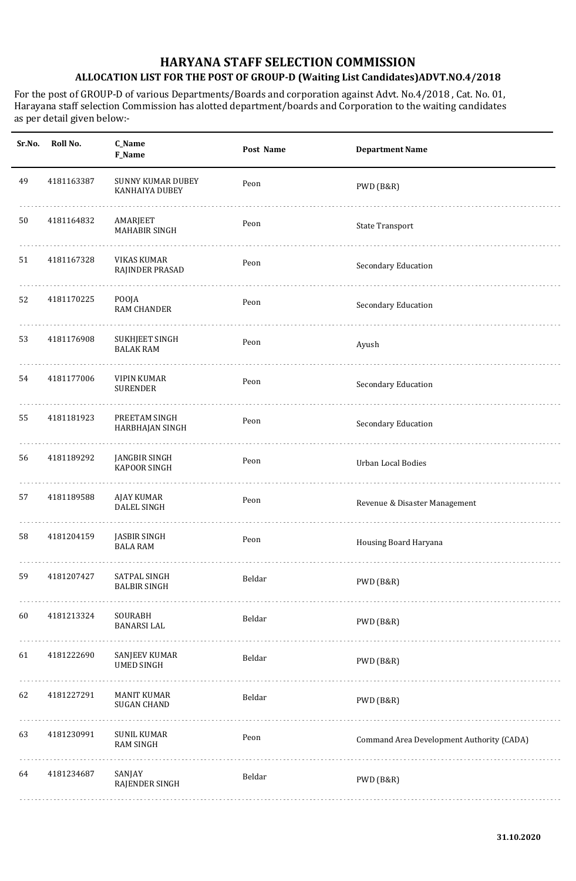| Sr.No. | Roll No.   | C_Name<br>F_Name                           | Post Name | <b>Department Name</b>                    |
|--------|------------|--------------------------------------------|-----------|-------------------------------------------|
| 49     | 4181163387 | <b>SUNNY KUMAR DUBEY</b><br>KANHAIYA DUBEY | Peon      | PWD (B&R)                                 |
| 50     | 4181164832 | AMARJEET<br>MAHABIR SINGH                  | Peon      | <b>State Transport</b>                    |
| 51     | 4181167328 | <b>VIKAS KUMAR</b><br>RAJINDER PRASAD      | Peon      | Secondary Education                       |
| 52     | 4181170225 | POOJA<br><b>RAM CHANDER</b>                | Peon      | Secondary Education                       |
| 53     | 4181176908 | <b>SUKHJEET SINGH</b><br><b>BALAK RAM</b>  | Peon      | Ayush                                     |
| 54     | 4181177006 | <b>VIPIN KUMAR</b><br><b>SURENDER</b>      | Peon      | Secondary Education                       |
| 55     | 4181181923 | PREETAM SINGH<br>HARBHAJAN SINGH           | Peon      | Secondary Education                       |
| 56     | 4181189292 | <b>JANGBIR SINGH</b><br>KAPOOR SINGH       | Peon      | <b>Urban Local Bodies</b>                 |
| 57     | 4181189588 | <b>AJAY KUMAR</b><br><b>DALEL SINGH</b>    | Peon      | Revenue & Disaster Management             |
| 58     | 4181204159 | <b>JASBIR SINGH</b><br><b>BALA RAM</b>     | Peon      | Housing Board Haryana                     |
| 59     | 4181207427 | SATPAL SINGH<br><b>BALBIR SINGH</b>        | Beldar    | PWD (B&R)                                 |
| 60     | 4181213324 | SOURABH<br><b>BANARSI LAL</b><br>.         | Beldar    | PWD (B&R)                                 |
| 61     | 4181222690 | SANJEEV KUMAR<br><b>UMED SINGH</b>         | Beldar    | PWD (B&R)                                 |
| 62     | 4181227291 | <b>MANIT KUMAR</b><br><b>SUGAN CHAND</b>   | Beldar    | PWD (B&R)                                 |
| 63     | 4181230991 | <b>SUNIL KUMAR</b><br><b>RAM SINGH</b>     | Peon      | Command Area Development Authority (CADA) |
| 64     | 4181234687 | SANJAY<br>RAJENDER SINGH                   | Beldar    | PWD (B&R)                                 |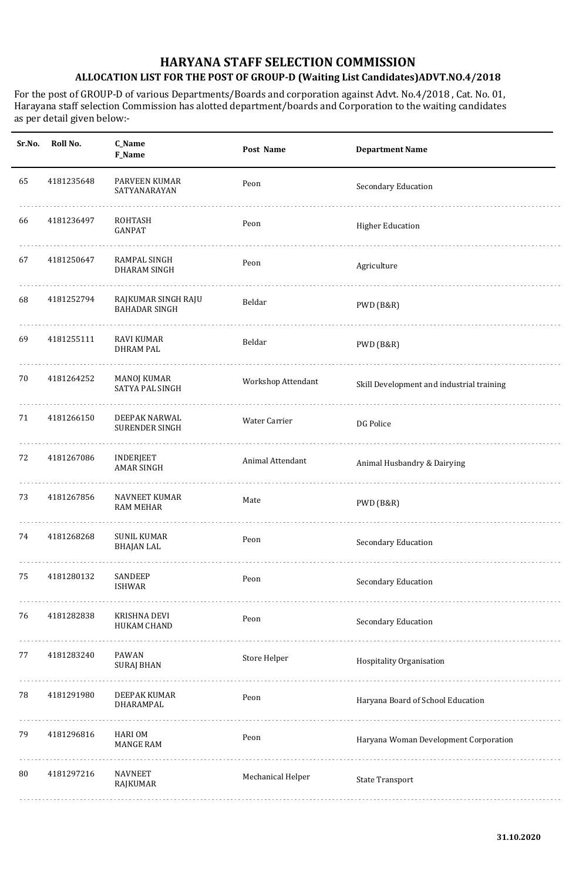| Sr.No. | Roll No.   | C_Name<br>F_Name                            | Post Name          | <b>Department Name</b>                    |
|--------|------------|---------------------------------------------|--------------------|-------------------------------------------|
| 65     | 4181235648 | PARVEEN KUMAR<br>SATYANARAYAN               | Peon               | Secondary Education                       |
| 66     | 4181236497 | ROHTASH<br><b>GANPAT</b>                    | Peon               | <b>Higher Education</b>                   |
| 67     | 4181250647 | RAMPAL SINGH<br><b>DHARAM SINGH</b>         | Peon               | Agriculture                               |
| 68     | 4181252794 | RAJKUMAR SINGH RAJU<br><b>BAHADAR SINGH</b> | Beldar             | PWD (B&R)                                 |
| 69     | 4181255111 | RAVI KUMAR<br><b>DHRAM PAL</b>              | Beldar             | PWD (B&R)                                 |
| 70     | 4181264252 | MANOJ KUMAR<br>SATYA PAL SINGH              | Workshop Attendant | Skill Development and industrial training |
| 71     | 4181266150 | DEEPAK NARWAL<br><b>SURENDER SINGH</b>      | Water Carrier      | DG Police                                 |
| 72     | 4181267086 | <b>INDERJEET</b><br><b>AMAR SINGH</b>       | Animal Attendant   | Animal Husbandry & Dairying               |
| 73     | 4181267856 | <b>NAVNEET KUMAR</b><br>RAM MEHAR           | Mate               | PWD (B&R)                                 |
| 74     | 4181268268 | <b>SUNIL KUMAR</b><br><b>BHAJAN LAL</b>     | Peon               | Secondary Education                       |
| 75     | 4181280132 | SANDEEP<br><b>ISHWAR</b>                    | Peon               | Secondary Education                       |
| 76     | 4181282838 | KRISHNA DEVI<br><b>HUKAM CHAND</b>          | Peon               | Secondary Education                       |
| 77     | 4181283240 | PAWAN<br><b>SURAJ BHAN</b>                  | Store Helper       | Hospitality Organisation                  |
| 78     | 4181291980 | DEEPAK KUMAR<br>DHARAMPAL                   | Peon               | Haryana Board of School Education         |
| 79     | 4181296816 | HARI OM<br><b>MANGE RAM</b>                 | Peon               | Haryana Woman Development Corporation     |
| 80     | 4181297216 | <b>NAVNEET</b><br>RAJKUMAR                  | Mechanical Helper  | <b>State Transport</b>                    |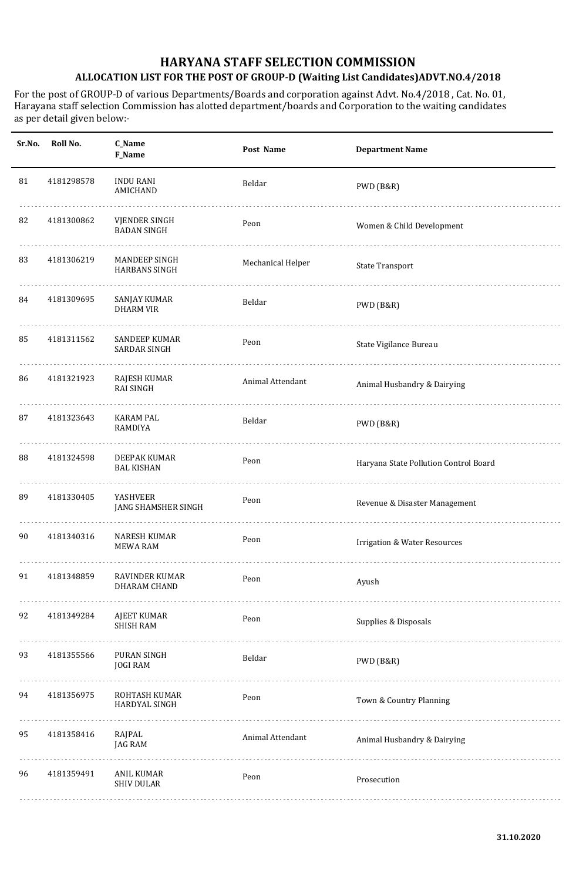| Sr.No. | Roll No.   | <b>C_Name</b><br>F_Name                      | Post Name         | <b>Department Name</b>                  |
|--------|------------|----------------------------------------------|-------------------|-----------------------------------------|
| 81     | 4181298578 | <b>INDU RANI</b><br>AMICHAND                 | Beldar            | PWD (B&R)                               |
| 82     | 4181300862 | VJENDER SINGH<br><b>BADAN SINGH</b>          | Peon              | Women & Child Development               |
| 83     | 4181306219 | <b>MANDEEP SINGH</b><br><b>HARBANS SINGH</b> | Mechanical Helper | <b>State Transport</b>                  |
| 84     | 4181309695 | SANJAY KUMAR<br><b>DHARM VIR</b>             | Beldar            | PWD (B&R)                               |
| 85     | 4181311562 | <b>SANDEEP KUMAR</b><br>SARDAR SINGH         | Peon              | State Vigilance Bureau                  |
| 86     | 4181321923 | RAJESH KUMAR<br><b>RAI SINGH</b>             | Animal Attendant  | Animal Husbandry & Dairying             |
| 87     | 4181323643 | <b>KARAM PAL</b><br><b>RAMDIYA</b>           | Beldar            | PWD (B&R)                               |
| 88     | 4181324598 | DEEPAK KUMAR<br><b>BAL KISHAN</b>            | Peon              | Haryana State Pollution Control Board   |
| 89     | 4181330405 | YASHVEER<br>JANG SHAMSHER SINGH              | Peon              | Revenue & Disaster Management           |
| 90     | 4181340316 | <b>NARESH KUMAR</b><br><b>MEWA RAM</b>       | Peon              | <b>Irrigation &amp; Water Resources</b> |
| 91     | 4181348859 | <b>RAVINDER KUMAR</b><br>DHARAM CHAND        | Peon              | Ayush                                   |
| 92     | 4181349284 | AJEET KUMAR<br><b>SHISH RAM</b>              | Peon              | Supplies & Disposals                    |
| 93     | 4181355566 | PURAN SINGH<br><b>JOGI RAM</b>               | Beldar            | PWD (B&R)                               |
| 94     | 4181356975 | ROHTASH KUMAR<br>HARDYAL SINGH               | Peon              | Town & Country Planning                 |
| 95     | 4181358416 | RAJPAL<br><b>JAG RAM</b>                     | Animal Attendant  | Animal Husbandry & Dairying             |
| 96     | 4181359491 | <b>ANIL KUMAR</b><br><b>SHIV DULAR</b>       | Peon              | Prosecution                             |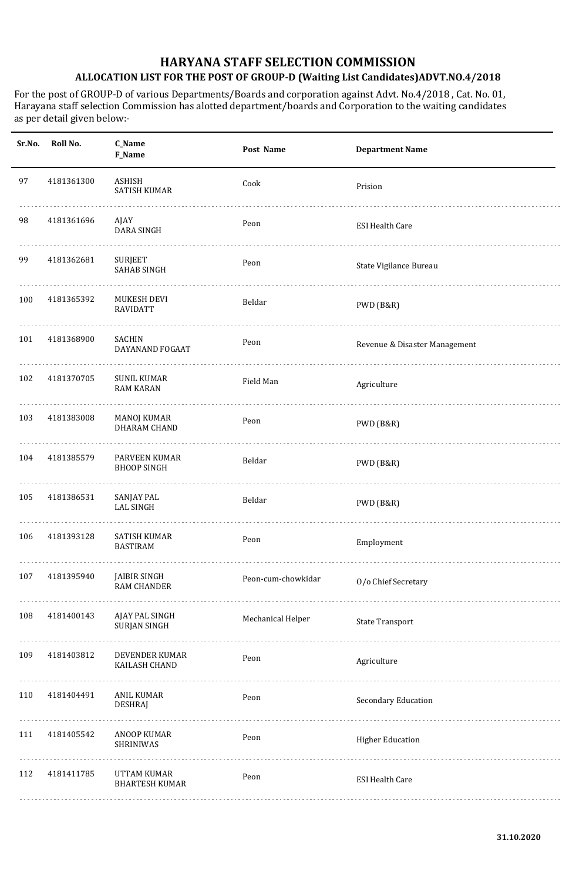| Sr.No. | Roll No.   | C_Name<br>F_Name                          | Post Name          | <b>Department Name</b>        |
|--------|------------|-------------------------------------------|--------------------|-------------------------------|
| 97     | 4181361300 | ASHISH<br>SATISH KUMAR                    | Cook               | Prision                       |
| 98     | 4181361696 | AJAY<br><b>DARA SINGH</b>                 | Peon               | <b>ESI Health Care</b>        |
| 99     | 4181362681 | <b>SURJEET</b><br><b>SAHAB SINGH</b>      | Peon               | State Vigilance Bureau        |
| 100    | 4181365392 | MUKESH DEVI<br><b>RAVIDATT</b>            | Beldar             | PWD (B&R)                     |
| 101    | 4181368900 | SACHIN<br>DAYANAND FOGAAT                 | Peon               | Revenue & Disaster Management |
| 102    | 4181370705 | <b>SUNIL KUMAR</b><br><b>RAM KARAN</b>    | Field Man          | Agriculture                   |
| 103    | 4181383008 | <b>MANOJ KUMAR</b><br>DHARAM CHAND        | Peon               | PWD (B&R)                     |
| 104    | 4181385579 | PARVEEN KUMAR<br><b>BHOOP SINGH</b>       | Beldar             | PWD (B&R)                     |
| 105    | 4181386531 | <b>SANJAY PAL</b><br><b>LAL SINGH</b>     | Beldar             | PWD (B&R)                     |
| 106    | 4181393128 | <b>SATISH KUMAR</b><br><b>BASTIRAM</b>    | Peon               | Employment                    |
| 107    | 4181395940 | <b>JAIBIR SINGH</b><br><b>RAM CHANDER</b> | Peon-cum-chowkidar | O/o Chief Secretary           |
| 108    | 4181400143 | AJAY PAL SINGH<br><b>SURJAN SINGH</b>     | Mechanical Helper  | <b>State Transport</b>        |
| 109    | 4181403812 | DEVENDER KUMAR<br>KAILASH CHAND           | Peon               | Agriculture                   |
| 110    | 4181404491 | ANIL KUMAR<br><b>DESHRAJ</b>              | Peon               | Secondary Education           |
| 111    | 4181405542 | ANOOP KUMAR<br>SHRINIWAS                  | Peon               | <b>Higher Education</b>       |
| 112    | 4181411785 | UTTAM KUMAR<br><b>BHARTESH KUMAR</b>      | Peon               | <b>ESI Health Care</b>        |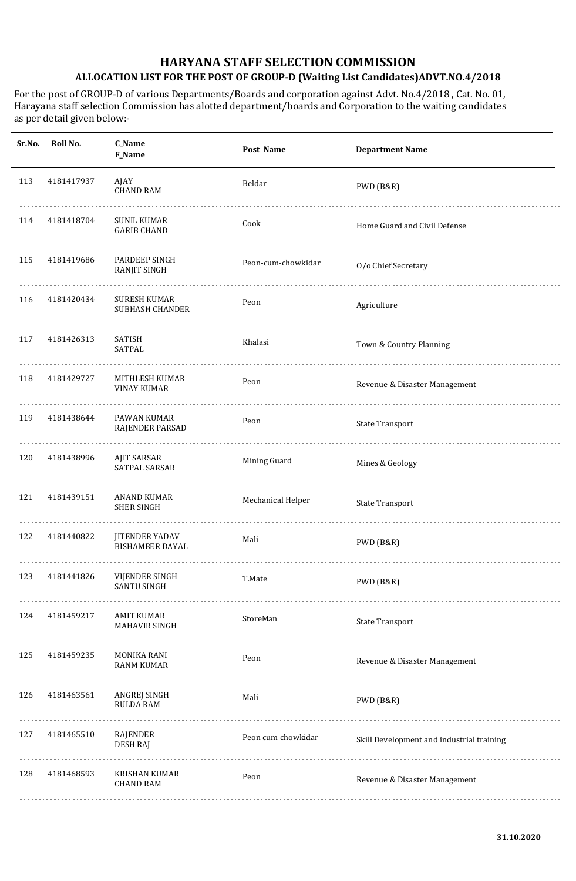| Sr.No. | Roll No.   | C_Name<br>F_Name                                | Post Name          | <b>Department Name</b>                    |
|--------|------------|-------------------------------------------------|--------------------|-------------------------------------------|
| 113    | 4181417937 | AJAY<br><b>CHAND RAM</b>                        | Beldar             | PWD (B&R)                                 |
| 114    | 4181418704 | SUNIL KUMAR<br><b>GARIB CHAND</b>               | Cook               | Home Guard and Civil Defense              |
| 115    | 4181419686 | PARDEEP SINGH<br><b>RANJIT SINGH</b>            | Peon-cum-chowkidar | O/o Chief Secretary                       |
| 116    | 4181420434 | <b>SURESH KUMAR</b><br><b>SUBHASH CHANDER</b>   | Peon               | Agriculture                               |
| 117    | 4181426313 | SATISH<br>SATPAL                                | Khalasi            | Town & Country Planning                   |
| 118    | 4181429727 | MITHLESH KUMAR<br><b>VINAY KUMAR</b>            | Peon               | Revenue & Disaster Management             |
| 119    | 4181438644 | PAWAN KUMAR<br>RAJENDER PARSAD                  | Peon               | <b>State Transport</b>                    |
| 120    | 4181438996 | <b>AJIT SARSAR</b><br>SATPAL SARSAR             | Mining Guard       | Mines & Geology                           |
| 121    | 4181439151 | <b>ANAND KUMAR</b><br><b>SHER SINGH</b>         | Mechanical Helper  | <b>State Transport</b>                    |
| 122    | 4181440822 | <b>JITENDER YADAV</b><br><b>BISHAMBER DAYAL</b> | Mali               | PWD (B&R)                                 |
| 123    | 4181441826 | VIJENDER SINGH<br><b>SANTU SINGH</b>            | T.Mate             | PWD (B&R)                                 |
| 124    | 4181459217 | <b>AMIT KUMAR</b><br>MAHAVIR SINGH              | StoreMan           | <b>State Transport</b>                    |
| 125    | 4181459235 | MONIKA RANI<br><b>RANM KUMAR</b>                | Peon               | Revenue & Disaster Management             |
| 126    | 4181463561 | ANGREJ SINGH<br><b>RULDA RAM</b>                | Mali               | PWD (B&R)                                 |
| 127    | 4181465510 | RAJENDER<br><b>DESH RAJ</b>                     | Peon cum chowkidar | Skill Development and industrial training |
| 128    | 4181468593 | KRISHAN KUMAR<br><b>CHAND RAM</b>               | Peon               | Revenue & Disaster Management             |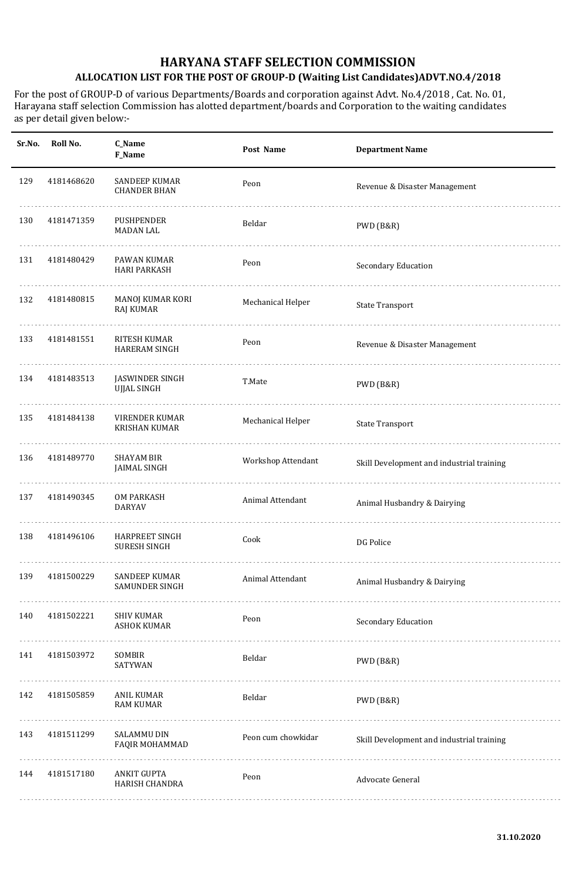| Sr.No. | Roll No.   | C_Name<br>F_Name                             | Post Name          | <b>Department Name</b>                    |
|--------|------------|----------------------------------------------|--------------------|-------------------------------------------|
| 129    | 4181468620 | SANDEEP KUMAR<br><b>CHANDER BHAN</b>         | Peon               | Revenue & Disaster Management             |
| 130    | 4181471359 | PUSHPENDER<br><b>MADAN LAL</b>               | Beldar             | PWD (B&R)                                 |
| 131    | 4181480429 | PAWAN KUMAR<br><b>HARI PARKASH</b>           | Peon               | Secondary Education                       |
| 132    | 4181480815 | MANOJ KUMAR KORI<br><b>RAJ KUMAR</b>         | Mechanical Helper  | <b>State Transport</b>                    |
| 133    | 4181481551 | RITESH KUMAR<br><b>HARERAM SINGH</b>         | Peon               | Revenue & Disaster Management             |
| 134    | 4181483513 | JASWINDER SINGH<br>UJJAL SINGH               | T.Mate             | PWD (B&R)                                 |
| 135    | 4181484138 | VIRENDER KUMAR<br><b>KRISHAN KUMAR</b>       | Mechanical Helper  | <b>State Transport</b>                    |
| 136    | 4181489770 | SHAYAM BIR<br><b>JAIMAL SINGH</b>            | Workshop Attendant | Skill Development and industrial training |
| 137    | 4181490345 | <b>OM PARKASH</b><br>DARYAV                  | Animal Attendant   | Animal Husbandry & Dairying               |
| 138    | 4181496106 | <b>HARPREET SINGH</b><br><b>SURESH SINGH</b> | Cook               | DG Police                                 |
| 139    | 4181500229 | SANDEEP KUMAR<br><b>SAMUNDER SINGH</b>       | Animal Attendant   | Animal Husbandry & Dairying               |
| 140    | 4181502221 | <b>SHIV KUMAR</b><br><b>ASHOK KUMAR</b>      | Peon               | Secondary Education                       |
| 141    | 4181503972 | SOMBIR<br>SATYWAN                            | Beldar             | PWD (B&R)                                 |
| 142    | 4181505859 | ANIL KUMAR<br><b>RAM KUMAR</b>               | Beldar             | PWD (B&R)                                 |
| 143    | 4181511299 | SALAMMU DIN<br>FAQIR MOHAMMAD                | Peon cum chowkidar | Skill Development and industrial training |
| 144    | 4181517180 | <b>ANKIT GUPTA</b><br>HARISH CHANDRA         | Peon               | Advocate General                          |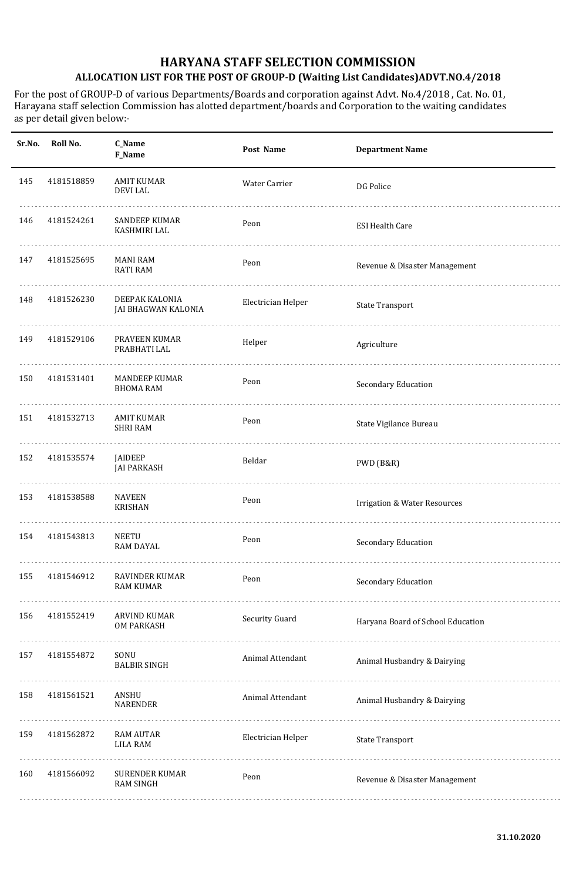| Sr.No. | Roll No.   | C_Name<br>F_Name                          | Post Name          | <b>Department Name</b>                  |
|--------|------------|-------------------------------------------|--------------------|-----------------------------------------|
| 145    | 4181518859 | <b>AMIT KUMAR</b><br><b>DEVILAL</b>       | Water Carrier      | DG Police                               |
| 146    | 4181524261 | SANDEEP KUMAR<br>KASHMIRI LAL             | Peon               | <b>ESI Health Care</b>                  |
| 147    | 4181525695 | MANI RAM<br><b>RATI RAM</b>               | Peon               | Revenue & Disaster Management           |
| 148    | 4181526230 | DEEPAK KALONIA<br>JAI BHAGWAN KALONIA     | Electrician Helper | <b>State Transport</b>                  |
| 149    | 4181529106 | PRAVEEN KUMAR<br>PRABHATI LAL             | Helper             | Agriculture                             |
| 150    | 4181531401 | <b>MANDEEP KUMAR</b><br><b>BHOMA RAM</b>  | Peon               | Secondary Education                     |
| 151    | 4181532713 | <b>AMIT KUMAR</b><br><b>SHRI RAM</b>      | Peon               | State Vigilance Bureau                  |
| 152    | 4181535574 | <b>JAIDEEP</b><br><b>JAI PARKASH</b>      | Beldar             | PWD (B&R)                               |
| 153    | 4181538588 | <b>NAVEEN</b><br><b>KRISHAN</b>           | Peon               | <b>Irrigation &amp; Water Resources</b> |
| 154    | 4181543813 | <b>NEETU</b><br><b>RAM DAYAL</b>          | Peon               | Secondary Education                     |
| 155    | 4181546912 | RAVINDER KUMAR<br><b>RAM KUMAR</b>        | Peon               | Secondary Education                     |
| 156    | 4181552419 | ARVIND KUMAR<br>OM PARKASH                | Security Guard     | Haryana Board of School Education       |
| 157    | 4181554872 | SONU<br><b>BALBIR SINGH</b>               | Animal Attendant   | Animal Husbandry & Dairying             |
| 158    | 4181561521 | ANSHU<br><b>NARENDER</b>                  | Animal Attendant   | Animal Husbandry & Dairying             |
| 159    | 4181562872 | <b>RAM AUTAR</b><br><b>LILA RAM</b>       | Electrician Helper | <b>State Transport</b>                  |
| 160    | 4181566092 | <b>SURENDER KUMAR</b><br><b>RAM SINGH</b> | Peon               | Revenue & Disaster Management           |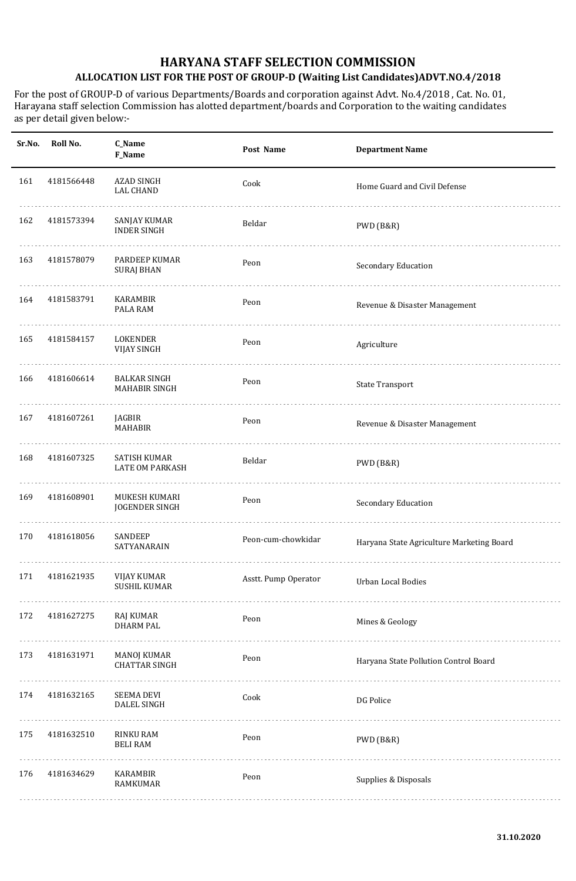| Sr.No. | Roll No.   | C_Name<br>F_Name                            | Post Name            | <b>Department Name</b>                    |
|--------|------------|---------------------------------------------|----------------------|-------------------------------------------|
| 161    | 4181566448 | AZAD SINGH<br><b>LAL CHAND</b>              | Cook                 | Home Guard and Civil Defense              |
| 162    | 4181573394 | SANJAY KUMAR<br><b>INDER SINGH</b>          | Beldar               | PWD (B&R)                                 |
| 163    | 4181578079 | PARDEEP KUMAR<br><b>SURAJ BHAN</b>          | Peon                 | Secondary Education                       |
| 164    | 4181583791 | KARAMBIR<br>PALA RAM                        | Peon                 | Revenue & Disaster Management             |
| 165    | 4181584157 | LOKENDER<br><b>VIJAY SINGH</b>              | Peon                 | Agriculture                               |
| 166    | 4181606614 | <b>BALKAR SINGH</b><br><b>MAHABIR SINGH</b> | Peon                 | <b>State Transport</b>                    |
| 167    | 4181607261 | JAGBIR<br><b>MAHABIR</b>                    | Peon                 | Revenue & Disaster Management             |
| 168    | 4181607325 | SATISH KUMAR<br><b>LATE OM PARKASH</b>      | Beldar               | PWD (B&R)                                 |
| 169    | 4181608901 | MUKESH KUMARI<br><b>JOGENDER SINGH</b>      | Peon                 | Secondary Education                       |
| 170    | 4181618056 | <b>SANDEEP</b><br>SATYANARAIN               | Peon-cum-chowkidar   | Haryana State Agriculture Marketing Board |
| 171    | 4181621935 | VIJAY KUMAR<br><b>SUSHIL KUMAR</b>          | Asstt. Pump Operator | Urban Local Bodies                        |
| 172    | 4181627275 | RAJ KUMAR<br><b>DHARM PAL</b>               | Peon                 | Mines & Geology                           |
| 173    | 4181631971 | MANOJ KUMAR<br><b>CHATTAR SINGH</b>         | Peon                 | Haryana State Pollution Control Board     |
| 174    | 4181632165 | <b>SEEMA DEVI</b><br>DALEL SINGH            | Cook                 | DG Police                                 |
| 175    | 4181632510 | RINKU RAM<br><b>BELI RAM</b>                | Peon                 | PWD (B&R)                                 |
| 176    | 4181634629 | KARAMBIR<br>RAMKUMAR                        | Peon                 | Supplies & Disposals                      |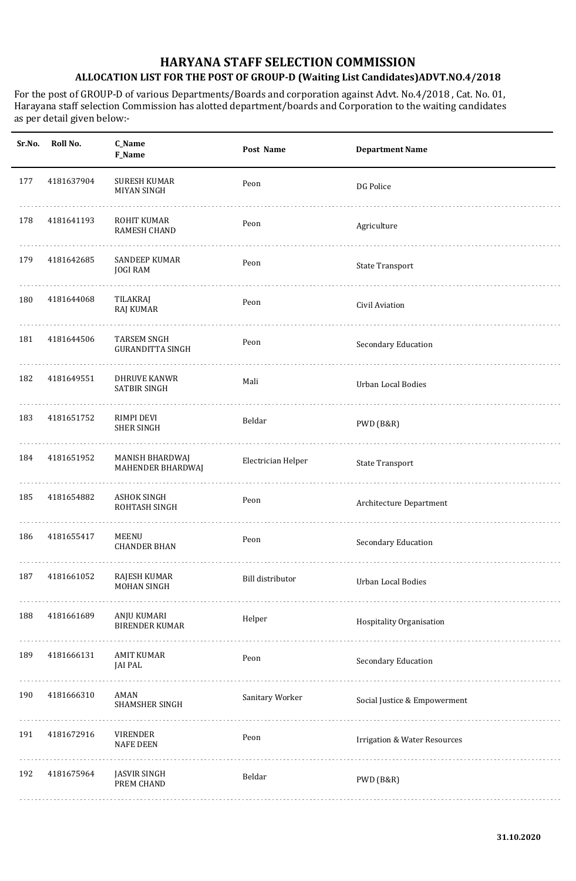| Sr.No. | Roll No.   | <b>C_Name</b><br>F_Name                       | Post Name          | <b>Department Name</b>                  |
|--------|------------|-----------------------------------------------|--------------------|-----------------------------------------|
| 177    | 4181637904 | <b>SURESH KUMAR</b><br><b>MIYAN SINGH</b>     | Peon               | <b>DG Police</b>                        |
| 178    | 4181641193 | <b>ROHIT KUMAR</b><br><b>RAMESH CHAND</b>     | Peon               | Agriculture                             |
| 179    | 4181642685 | SANDEEP KUMAR<br><b>JOGI RAM</b>              | Peon               | <b>State Transport</b>                  |
| 180    | 4181644068 | TILAKRAJ<br><b>RAJ KUMAR</b>                  | Peon               | Civil Aviation                          |
| 181    | 4181644506 | <b>TARSEM SNGH</b><br><b>GURANDITTA SINGH</b> | Peon               | Secondary Education                     |
| 182    | 4181649551 | <b>DHRUVE KANWR</b><br><b>SATBIR SINGH</b>    | Mali               | <b>Urban Local Bodies</b>               |
| 183    | 4181651752 | RIMPI DEVI<br><b>SHER SINGH</b>               | Beldar             | PWD (B&R)                               |
| 184    | 4181651952 | MANISH BHARDWAJ<br>MAHENDER BHARDWAJ          | Electrician Helper | <b>State Transport</b>                  |
| 185    | 4181654882 | <b>ASHOK SINGH</b><br>ROHTASH SINGH           | Peon               | Architecture Department                 |
| 186    | 4181655417 | MEENU<br><b>CHANDER BHAN</b>                  | Peon               | Secondary Education                     |
| 187    | 4181661052 | RAJESH KUMAR<br>MOHAN SINGH                   | Bill distributor   | Urban Local Bodies                      |
| 188    | 4181661689 | ANJU KUMARI<br><b>BIRENDER KUMAR</b>          | Helper             | Hospitality Organisation                |
| 189    | 4181666131 | <b>AMIT KUMAR</b><br><b>JAI PAL</b>           | Peon               | Secondary Education                     |
| 190    | 4181666310 | AMAN<br>SHAMSHER SINGH                        | Sanitary Worker    | Social Justice & Empowerment            |
| 191    | 4181672916 | <b>VIRENDER</b><br><b>NAFE DEEN</b>           | Peon               | <b>Irrigation &amp; Water Resources</b> |
| 192    | 4181675964 | <b>JASVIR SINGH</b><br>PREM CHAND             | Beldar             | PWD (B&R)                               |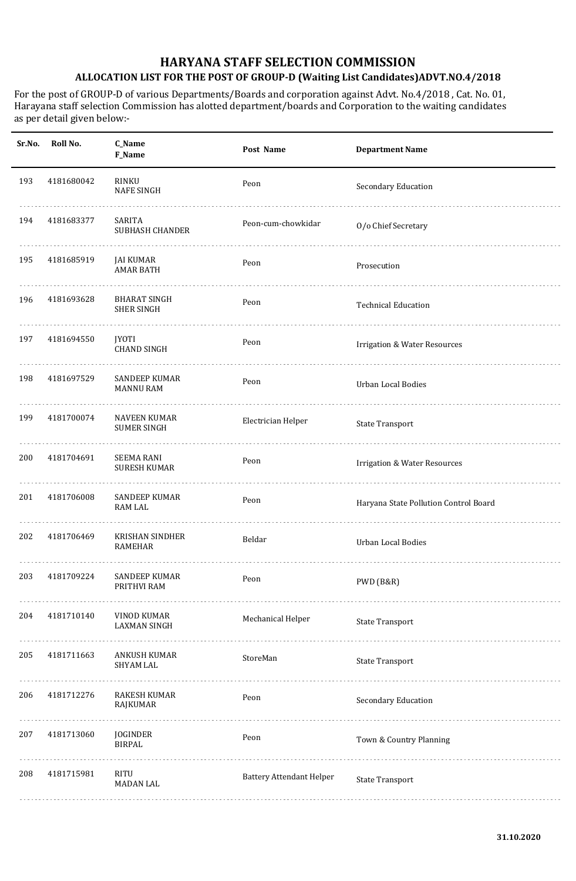| Sr.No. | Roll No.   | C_Name<br>F_Name                          | Post Name                       | <b>Department Name</b>                  |
|--------|------------|-------------------------------------------|---------------------------------|-----------------------------------------|
| 193    | 4181680042 | RINKU<br><b>NAFE SINGH</b>                | Peon                            | Secondary Education                     |
| 194    | 4181683377 | SARITA<br><b>SUBHASH CHANDER</b>          | Peon-cum-chowkidar              | O/o Chief Secretary                     |
| 195    | 4181685919 | JAI KUMAR<br><b>AMAR BATH</b>             | Peon                            | Prosecution                             |
| 196    | 4181693628 | BHARAT SINGH<br><b>SHER SINGH</b>         | Peon                            | <b>Technical Education</b>              |
| 197    | 4181694550 | <b>JYOTI</b><br><b>CHAND SINGH</b>        | Peon                            | <b>Irrigation &amp; Water Resources</b> |
| 198    | 4181697529 | SANDEEP KUMAR<br><b>MANNU RAM</b>         | Peon                            | <b>Urban Local Bodies</b>               |
| 199    | 4181700074 | <b>NAVEEN KUMAR</b><br><b>SUMER SINGH</b> | Electrician Helper              | <b>State Transport</b>                  |
| 200    | 4181704691 | <b>SEEMA RANI</b><br><b>SURESH KUMAR</b>  | Peon                            | <b>Irrigation &amp; Water Resources</b> |
| 201    | 4181706008 | SANDEEP KUMAR<br>RAM LAL                  | Peon                            | Haryana State Pollution Control Board   |
| 202    | 4181706469 | <b>KRISHAN SINDHER</b><br><b>RAMEHAR</b>  | Beldar                          | Urban Local Bodies                      |
| 203    | 4181709224 | SANDEEP KUMAR<br>PRITHVI RAM              | Peon                            | PWD (B&R)                               |
| 204    | 4181710140 | VINOD KUMAR<br><b>LAXMAN SINGH</b>        | Mechanical Helper               | <b>State Transport</b>                  |
| 205    | 4181711663 | ANKUSH KUMAR<br>SHYAM LAL                 | StoreMan                        | <b>State Transport</b>                  |
| 206    | 4181712276 | <b>RAKESH KUMAR</b><br>RAJKUMAR           | Peon                            | Secondary Education                     |
| 207    | 4181713060 | JOGINDER<br><b>BIRPAL</b>                 | Peon                            | Town & Country Planning                 |
| 208    | 4181715981 | RITU<br><b>MADAN LAL</b>                  | <b>Battery Attendant Helper</b> | <b>State Transport</b>                  |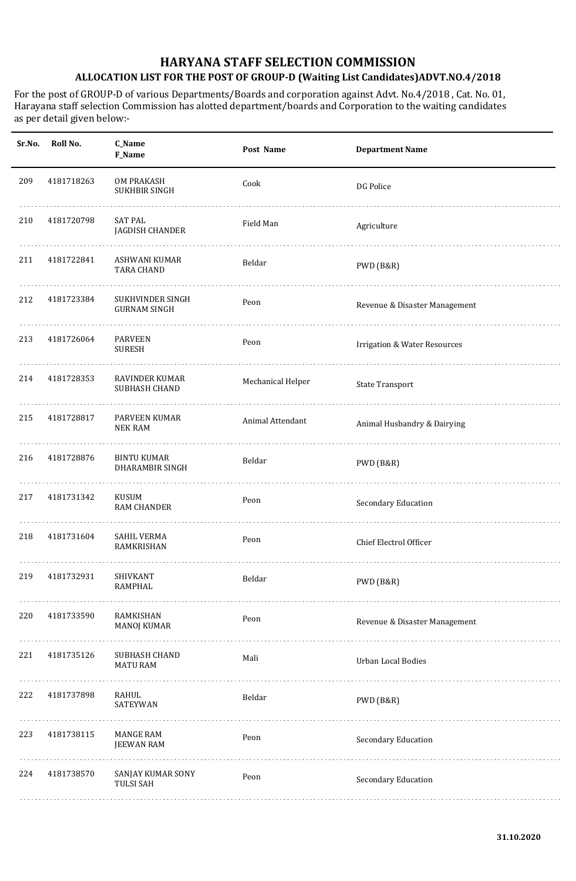| Sr.No. | Roll No.   | C_Name<br>F_Name                          | Post Name         | <b>Department Name</b>                  |
|--------|------------|-------------------------------------------|-------------------|-----------------------------------------|
| 209    | 4181718263 | <b>OM PRAKASH</b><br><b>SUKHBIR SINGH</b> | Cook              | DG Police                               |
| 210    | 4181720798 | <b>SAT PAL</b><br>JAGDISH CHANDER         | Field Man         | Agriculture                             |
| 211    | 4181722841 | ASHWANI KUMAR<br><b>TARA CHAND</b>        | Beldar            | PWD (B&R)                               |
| 212    | 4181723384 | SUKHVINDER SINGH<br><b>GURNAM SINGH</b>   | Peon              | Revenue & Disaster Management           |
| 213    | 4181726064 | <b>PARVEEN</b><br><b>SURESH</b>           | Peon              | <b>Irrigation &amp; Water Resources</b> |
| 214    | 4181728353 | <b>RAVINDER KUMAR</b><br>SUBHASH CHAND    | Mechanical Helper | <b>State Transport</b>                  |
| 215    | 4181728817 | PARVEEN KUMAR<br><b>NEK RAM</b>           | Animal Attendant  | Animal Husbandry & Dairying             |
| 216    | 4181728876 | <b>BINTU KUMAR</b><br>DHARAMBIR SINGH     | Beldar            | PWD (B&R)                               |
| 217    | 4181731342 | KUSUM<br><b>RAM CHANDER</b>               | Peon              | Secondary Education                     |
| 218    | 4181731604 | <b>SAHIL VERMA</b><br>RAMKRISHAN          | Peon              | Chief Electrol Officer                  |
| 219    | 4181732931 | SHIVKANT<br><b>RAMPHAL</b>                | Beldar            | PWD (B&R)                               |
| 220    | 4181733590 | RAMKISHAN<br><b>MANOJ KUMAR</b>           | Peon              | Revenue & Disaster Management           |
| 221    | 4181735126 | SUBHASH CHAND<br><b>MATU RAM</b>          | Mali              | <b>Urban Local Bodies</b>               |
| 222    | 4181737898 | <b>RAHUL</b><br>SATEYWAN                  | Beldar            | PWD (B&R)                               |
| 223    | 4181738115 | <b>MANGE RAM</b><br><b>JEEWAN RAM</b>     | Peon              | Secondary Education                     |
| 224    | 4181738570 | SANJAY KUMAR SONY<br><b>TULSI SAH</b>     | Peon              | Secondary Education                     |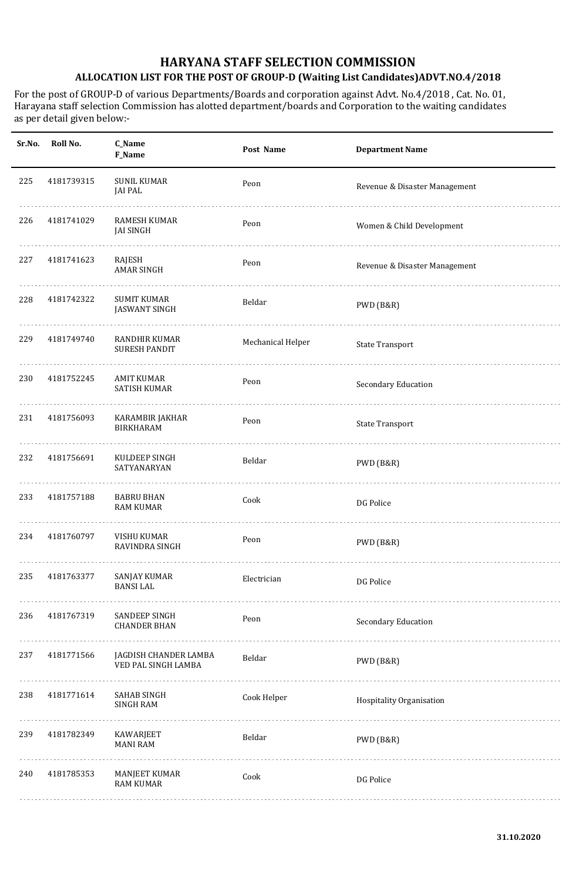| Sr.No. | Roll No.   | C_Name<br>F_Name                             | Post Name         | <b>Department Name</b>        |
|--------|------------|----------------------------------------------|-------------------|-------------------------------|
| 225    | 4181739315 | <b>SUNIL KUMAR</b><br><b>JAI PAL</b>         | Peon              | Revenue & Disaster Management |
| 226    | 4181741029 | <b>RAMESH KUMAR</b><br>JAI SINGH             | Peon              | Women & Child Development     |
| 227    | 4181741623 | RAJESH<br><b>AMAR SINGH</b>                  | Peon              | Revenue & Disaster Management |
| 228    | 4181742322 | <b>SUMIT KUMAR</b><br><b>JASWANT SINGH</b>   | Beldar            | PWD (B&R)                     |
| 229    | 4181749740 | <b>RANDHIR KUMAR</b><br><b>SURESH PANDIT</b> | Mechanical Helper | <b>State Transport</b>        |
| 230    | 4181752245 | <b>AMIT KUMAR</b><br><b>SATISH KUMAR</b>     | Peon              | Secondary Education           |
| 231    | 4181756093 | KARAMBIR JAKHAR<br><b>BIRKHARAM</b>          | Peon              | <b>State Transport</b>        |
| 232    | 4181756691 | KULDEEP SINGH<br>SATYANARYAN                 | Beldar            | PWD (B&R)                     |
| 233    | 4181757188 | <b>BABRU BHAN</b><br><b>RAM KUMAR</b>        | Cook              | DG Police                     |
| 234    | 4181760797 | VISHU KUMAR<br>RAVINDRA SINGH                | Peon              | PWD (B&R)                     |
| 235    | 4181763377 | <b>SANJAY KUMAR</b><br><b>BANSI LAL</b>      | Electrician       | DG Police                     |
| 236    | 4181767319 | SANDEEP SINGH<br><b>CHANDER BHAN</b>         | Peon              | Secondary Education           |
| 237    | 4181771566 | JAGDISH CHANDER LAMBA<br>VED PAL SINGH LAMBA | Beldar            | PWD (B&R)                     |
| 238    | 4181771614 | <b>SAHAB SINGH</b><br><b>SINGH RAM</b>       | Cook Helper       | Hospitality Organisation      |
| 239    | 4181782349 | KAWARJEET<br><b>MANI RAM</b>                 | Beldar            | PWD (B&R)                     |
| 240    | 4181785353 | <b>MANJEET KUMAR</b><br><b>RAM KUMAR</b>     | Cook              | DG Police                     |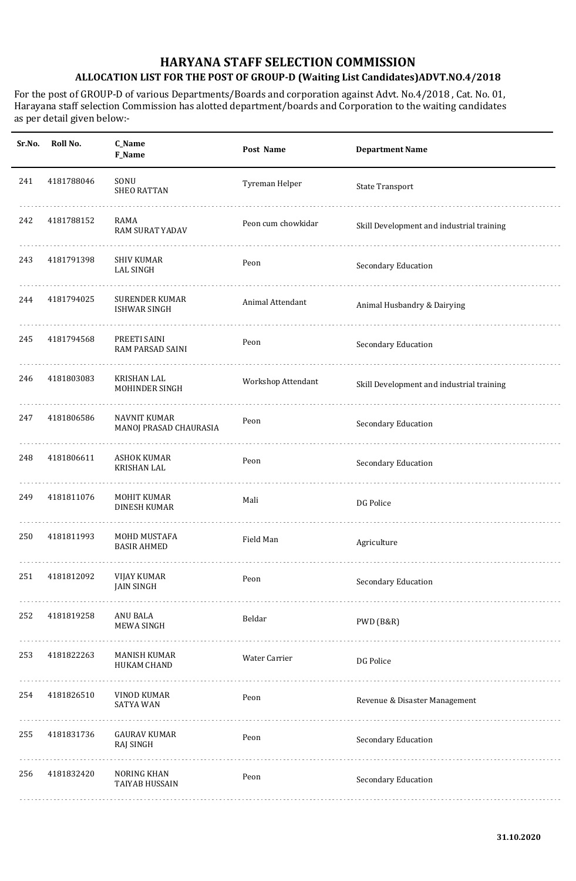| Sr.No. | Roll No.   | C_Name<br><b>F_Name</b>                       | Post Name          | <b>Department Name</b>                    |
|--------|------------|-----------------------------------------------|--------------------|-------------------------------------------|
| 241    | 4181788046 | SONU<br><b>SHEO RATTAN</b>                    | Tyreman Helper     | <b>State Transport</b>                    |
| 242    | 4181788152 | RAMA<br>RAM SURAT YADAV                       | Peon cum chowkidar | Skill Development and industrial training |
| 243    | 4181791398 | SHIV KUMAR<br><b>LAL SINGH</b>                | Peon               | Secondary Education                       |
| 244    | 4181794025 | <b>SURENDER KUMAR</b><br><b>ISHWAR SINGH</b>  | Animal Attendant   | Animal Husbandry & Dairying               |
| 245    | 4181794568 | PREETI SAINI<br>RAM PARSAD SAINI              | Peon               | Secondary Education                       |
| 246    | 4181803083 | <b>KRISHAN LAL</b><br>MOHINDER SINGH          | Workshop Attendant | Skill Development and industrial training |
| 247    | 4181806586 | <b>NAVNIT KUMAR</b><br>MANOJ PRASAD CHAURASIA | Peon               | Secondary Education                       |
| 248    | 4181806611 | <b>ASHOK KUMAR</b><br><b>KRISHAN LAL</b>      | Peon               | Secondary Education                       |
| 249    | 4181811076 | MOHIT KUMAR<br><b>DINESH KUMAR</b>            | Mali               | DG Police                                 |
| 250    | 4181811993 | MOHD MUSTAFA<br><b>BASIR AHMED</b>            | Field Man          | Agriculture                               |
| 251    | 4181812092 | VIJAY KUMAR<br><b>JAIN SINGH</b>              | Peon               | Secondary Education                       |
| 252    | 4181819258 | ANU BALA<br><b>MEWA SINGH</b>                 | Beldar             | PWD (B&R)                                 |
| 253    | 4181822263 | MANISH KUMAR<br>HUKAM CHAND                   | Water Carrier      | DG Police                                 |
| 254    | 4181826510 | VINOD KUMAR<br><b>SATYA WAN</b>               | Peon               | Revenue & Disaster Management             |
| 255    | 4181831736 | <b>GAURAV KUMAR</b><br>RAJ SINGH              | Peon               | Secondary Education                       |
| 256    | 4181832420 | NORING KHAN<br>TAIYAB HUSSAIN                 | Peon               | Secondary Education                       |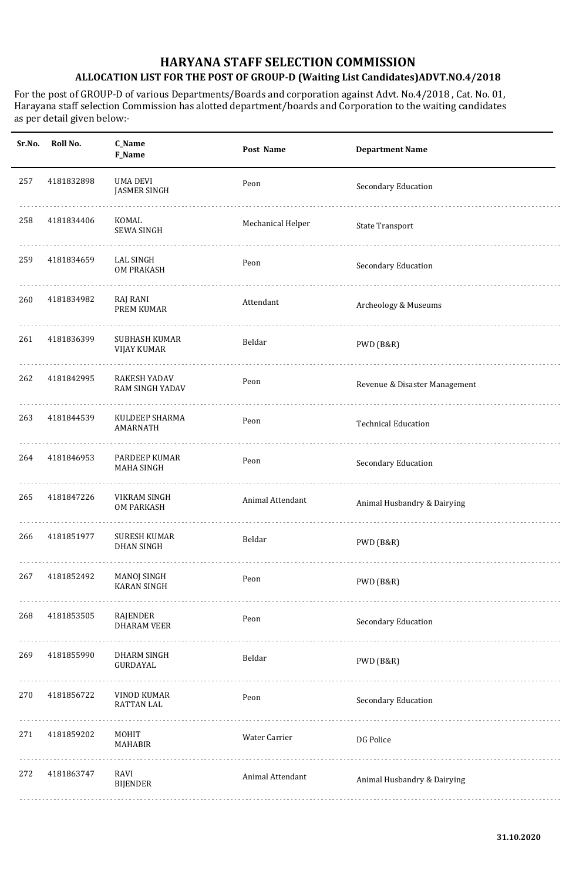| Sr.No. | Roll No.   | C_Name<br>F_Name                              | Post Name         | <b>Department Name</b>        |
|--------|------------|-----------------------------------------------|-------------------|-------------------------------|
| 257    | 4181832898 | <b>UMA DEVI</b><br><b>JASMER SINGH</b>        | Peon              | Secondary Education           |
| 258    | 4181834406 | KOMAL<br><b>SEWA SINGH</b>                    | Mechanical Helper | <b>State Transport</b>        |
| 259    | 4181834659 | LAL SINGH<br><b>OM PRAKASH</b>                | Peon              | Secondary Education           |
| 260    | 4181834982 | RAJ RANI<br>PREM KUMAR                        | Attendant         | Archeology & Museums          |
| 261    | 4181836399 | SUBHASH KUMAR<br><b>VIJAY KUMAR</b>           | Beldar            | PWD (B&R)                     |
| 262    | 4181842995 | <b>RAKESH YADAV</b><br><b>RAM SINGH YADAV</b> | Peon              | Revenue & Disaster Management |
| 263    | 4181844539 | KULDEEP SHARMA<br><b>AMARNATH</b>             | Peon              | <b>Technical Education</b>    |
| 264    | 4181846953 | PARDEEP KUMAR<br><b>MAHA SINGH</b>            | Peon              | Secondary Education           |
| 265    | 4181847226 | VIKRAM SINGH<br><b>OM PARKASH</b>             | Animal Attendant  | Animal Husbandry & Dairying   |
| 266    | 4181851977 | <b>SURESH KUMAR</b><br><b>DHAN SINGH</b>      | Beldar            | PWD (B&R)                     |
| 267    | 4181852492 | <b>MANOJ SINGH</b><br><b>KARAN SINGH</b>      | Peon              | PWD (B&R)                     |
| 268    | 4181853505 | RAJENDER<br><b>DHARAM VEER</b>                | Peon              | Secondary Education           |
| 269    | 4181855990 | <b>DHARM SINGH</b><br>GURDAYAL                | Beldar            | PWD (B&R)                     |
| 270    | 4181856722 | VINOD KUMAR<br>RATTAN LAL                     | Peon              | Secondary Education           |
| 271    | 4181859202 | MOHIT<br><b>MAHABIR</b>                       | Water Carrier     | DG Police                     |
| 272    | 4181863747 | RAVI<br><b>BIJENDER</b>                       | Animal Attendant  | Animal Husbandry & Dairying   |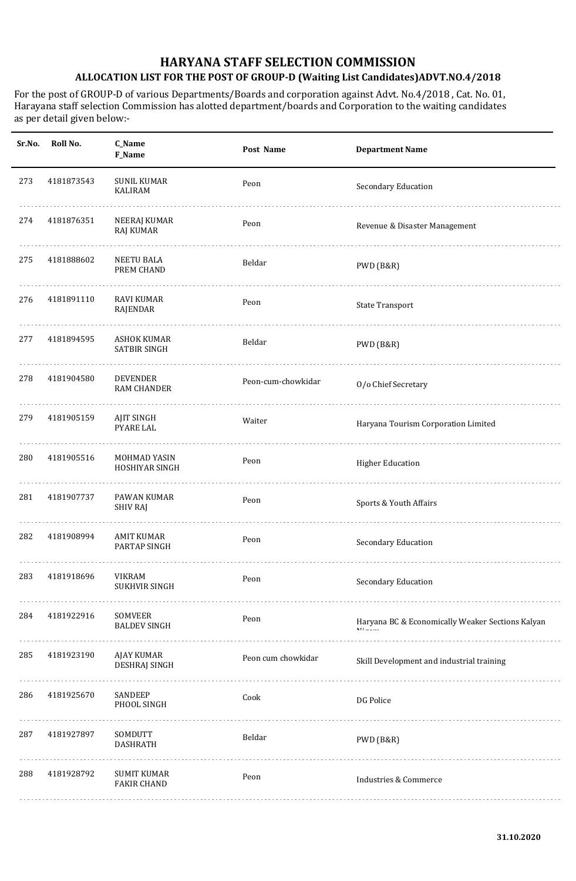| Sr.No. | Roll No.   | C_Name<br>F_Name                          | Post Name          | <b>Department Name</b>                           |
|--------|------------|-------------------------------------------|--------------------|--------------------------------------------------|
| 273    | 4181873543 | <b>SUNIL KUMAR</b><br><b>KALIRAM</b>      | Peon               | Secondary Education                              |
| 274    | 4181876351 | NEERAJ KUMAR<br><b>RAJ KUMAR</b>          | Peon               | Revenue & Disaster Management                    |
| 275    | 4181888602 | <b>NEETU BALA</b><br>PREM CHAND           | Beldar             | PWD (B&R)                                        |
| 276    | 4181891110 | <b>RAVI KUMAR</b><br>RAJENDAR             | Peon               | <b>State Transport</b>                           |
| 277    | 4181894595 | <b>ASHOK KUMAR</b><br>SATBIR SINGH        | Beldar             | PWD (B&R)                                        |
| 278    | 4181904580 | <b>DEVENDER</b><br><b>RAM CHANDER</b>     | Peon-cum-chowkidar | O/o Chief Secretary                              |
| 279    | 4181905159 | <b>AJIT SINGH</b><br><b>PYARE LAL</b>     | Waiter             | Haryana Tourism Corporation Limited              |
| 280    | 4181905516 | MOHMAD YASIN<br>HOSHIYAR SINGH            | Peon               | <b>Higher Education</b>                          |
| 281    | 4181907737 | PAWAN KUMAR<br>SHIV RAJ                   | Peon               | Sports & Youth Affairs                           |
| 282    | 4181908994 | <b>AMIT KUMAR</b><br>PARTAP SINGH         | Peon               | Secondary Education                              |
| 283    | 4181918696 | <b>VIKRAM</b><br><b>SUKHVIR SINGH</b>     | Peon               | Secondary Education                              |
| 284    | 4181922916 | SOMVEER<br><b>BALDEV SINGH</b>            | Peon               | Haryana BC & Economically Weaker Sections Kalyan |
| 285    | 4181923190 | <b>AJAY KUMAR</b><br><b>DESHRAJ SINGH</b> | Peon cum chowkidar | Skill Development and industrial training        |
| 286    | 4181925670 | SANDEEP<br>PHOOL SINGH                    | Cook               | DG Police                                        |
| 287    | 4181927897 | SOMDUTT<br><b>DASHRATH</b>                | Beldar             | PWD (B&R)                                        |
| 288    | 4181928792 | <b>SUMIT KUMAR</b><br><b>FAKIR CHAND</b>  | Peon               | <b>Industries &amp; Commerce</b>                 |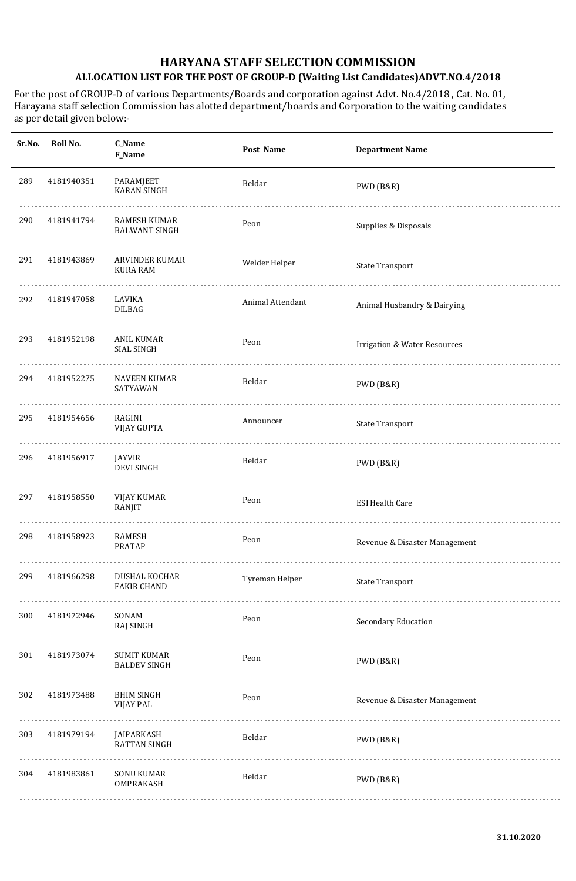| Sr.No. | Roll No.   | C_Name<br>F_Name                            | Post Name        | <b>Department Name</b>                  |
|--------|------------|---------------------------------------------|------------------|-----------------------------------------|
| 289    | 4181940351 | PARAMJEET<br><b>KARAN SINGH</b>             | Beldar           | PWD (B&R)                               |
| 290    | 4181941794 | <b>RAMESH KUMAR</b><br><b>BALWANT SINGH</b> | Peon             | Supplies & Disposals                    |
| 291    | 4181943869 | <b>ARVINDER KUMAR</b><br><b>KURA RAM</b>    | Welder Helper    | <b>State Transport</b>                  |
| 292    | 4181947058 | LAVIKA<br><b>DILBAG</b>                     | Animal Attendant | Animal Husbandry & Dairying             |
| 293    | 4181952198 | <b>ANIL KUMAR</b><br>SIAL SINGH             | Peon             | <b>Irrigation &amp; Water Resources</b> |
| 294    | 4181952275 | <b>NAVEEN KUMAR</b><br>SATYAWAN             | Beldar           | PWD (B&R)                               |
| 295    | 4181954656 | RAGINI<br><b>VIJAY GUPTA</b>                | Announcer        | <b>State Transport</b>                  |
| 296    | 4181956917 | JAYVIR<br><b>DEVI SINGH</b>                 | Beldar           | PWD (B&R)                               |
| 297    | 4181958550 | <b>VIJAY KUMAR</b><br>RANJIT                | Peon             | <b>ESI Health Care</b>                  |
| 298    | 4181958923 | <b>RAMESH</b><br><b>PRATAP</b>              | Peon             | Revenue & Disaster Management           |
| 299    | 4181966298 | DUSHAL KOCHAR<br><b>FAKIR CHAND</b>         | Tyreman Helper   | State Transport                         |
| 300    | 4181972946 | SONAM<br>RAJ SINGH                          | Peon             | Secondary Education                     |
| 301    | 4181973074 | <b>SUMIT KUMAR</b><br><b>BALDEV SINGH</b>   | Peon             | PWD (B&R)                               |
| 302    | 4181973488 | <b>BHIM SINGH</b><br><b>VIJAY PAL</b>       | Peon             | Revenue & Disaster Management           |
| 303    | 4181979194 | JAIPARKASH<br><b>RATTAN SINGH</b>           | Beldar           | PWD (B&R)                               |
| 304    | 4181983861 | <b>SONU KUMAR</b><br>OMPRAKASH              | Beldar           | PWD (B&R)                               |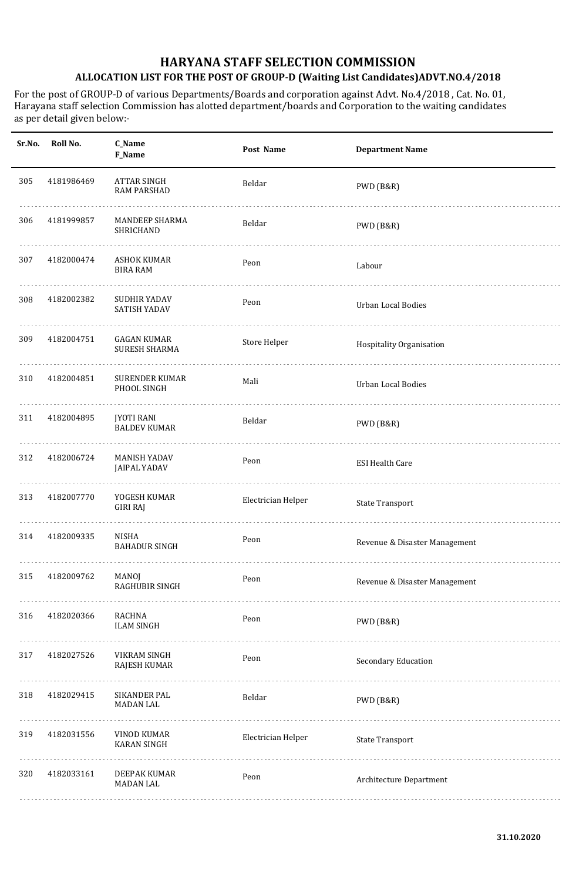| Sr.No. | Roll No.   | C_Name<br>F_Name                           | Post Name          | <b>Department Name</b>        |
|--------|------------|--------------------------------------------|--------------------|-------------------------------|
| 305    | 4181986469 | ATTAR SINGH<br><b>RAM PARSHAD</b>          | Beldar             | PWD (B&R)                     |
| 306    | 4181999857 | <b>MANDEEP SHARMA</b><br>SHRICHAND         | Beldar             | PWD (B&R)                     |
| 307    | 4182000474 | ASHOK KUMAR<br><b>BIRA RAM</b>             | Peon               | Labour                        |
| 308    | 4182002382 | SUDHIR YADAV<br>SATISH YADAV               | Peon               | <b>Urban Local Bodies</b>     |
| 309    | 4182004751 | GAGAN KUMAR<br><b>SURESH SHARMA</b>        | Store Helper       | Hospitality Organisation      |
| 310    | 4182004851 | SURENDER KUMAR<br>PHOOL SINGH              | Mali               | <b>Urban Local Bodies</b>     |
| 311    | 4182004895 | <b>JYOTI RANI</b><br><b>BALDEV KUMAR</b>   | Beldar             | PWD (B&R)                     |
| 312    | 4182006724 | <b>MANISH YADAV</b><br><b>JAIPAL YADAV</b> | Peon               | <b>ESI Health Care</b>        |
| 313    | 4182007770 | YOGESH KUMAR<br><b>GIRI RAJ</b>            | Electrician Helper | <b>State Transport</b>        |
| 314    | 4182009335 | NISHA<br><b>BAHADUR SINGH</b>              | Peon               | Revenue & Disaster Management |
| 315    | 4182009762 | MANOJ<br>RAGHUBIR SINGH                    | Peon               | Revenue & Disaster Management |
| 316    | 4182020366 | RACHNA<br><b>ILAM SINGH</b>                | Peon               | PWD (B&R)                     |
| 317    | 4182027526 | VIKRAM SINGH<br>RAJESH KUMAR               | Peon               | Secondary Education           |
| 318    | 4182029415 | SIKANDER PAL<br><b>MADAN LAL</b>           | Beldar             | PWD (B&R)                     |
| 319    | 4182031556 | VINOD KUMAR<br><b>KARAN SINGH</b>          | Electrician Helper | <b>State Transport</b>        |
| 320    | 4182033161 | DEEPAK KUMAR<br><b>MADAN LAL</b>           | Peon               | Architecture Department       |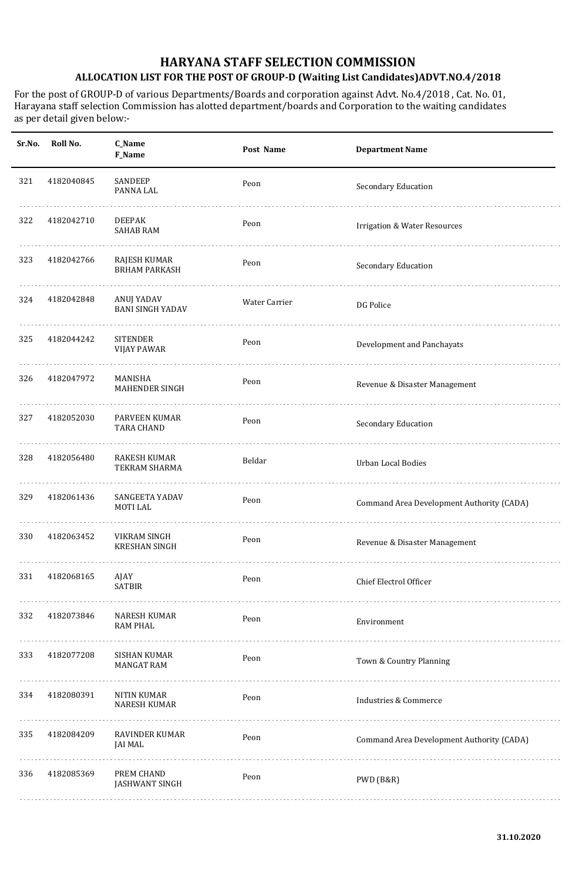| Sr.No. | Roll No.   | C_Name<br><b>F_Name</b>                     | Post Name     | <b>Department Name</b>                    |
|--------|------------|---------------------------------------------|---------------|-------------------------------------------|
| 321    | 4182040845 | SANDEEP<br>PANNA LAL                        | Peon          | Secondary Education                       |
| 322    | 4182042710 | <b>DEEPAK</b><br><b>SAHAB RAM</b>           | Peon          | <b>Irrigation &amp; Water Resources</b>   |
| 323    | 4182042766 | <b>RAJESH KUMAR</b><br><b>BRHAM PARKASH</b> | Peon          | Secondary Education                       |
| 324    | 4182042848 | ANUJ YADAV<br><b>BANI SINGH YADAV</b>       | Water Carrier | DG Police                                 |
| 325    | 4182044242 | <b>SITENDER</b><br><b>VIJAY PAWAR</b>       | Peon          | Development and Panchayats                |
| 326    | 4182047972 | MANISHA<br>MAHENDER SINGH                   | Peon          | Revenue & Disaster Management             |
| 327    | 4182052030 | PARVEEN KUMAR<br><b>TARA CHAND</b>          | Peon          | Secondary Education                       |
| 328    | 4182056480 | <b>RAKESH KUMAR</b><br>TEKRAM SHARMA        | Beldar        | <b>Urban Local Bodies</b>                 |
| 329    | 4182061436 | SANGEETA YADAV<br><b>MOTILAL</b>            | Peon          | Command Area Development Authority (CADA) |
| 330    | 4182063452 | VIKRAM SINGH<br><b>KRESHAN SINGH</b>        | Peon          | Revenue & Disaster Management             |
| 331    | 4182068165 | AJAY<br><b>SATBIR</b>                       | Peon          | Chief Electrol Officer                    |
| 332    | 4182073846 | <b>NARESH KUMAR</b><br><b>RAM PHAL</b>      | Peon          | Environment                               |
| 333    | 4182077208 | SISHAN KUMAR<br><b>MANGAT RAM</b>           | Peon          | Town & Country Planning                   |
| 334    | 4182080391 | <b>NITIN KUMAR</b><br><b>NARESH KUMAR</b>   | Peon          | <b>Industries &amp; Commerce</b>          |
| 335    | 4182084209 | RAVINDER KUMAR<br>JAI MAL                   | Peon          | Command Area Development Authority (CADA) |
| 336    | 4182085369 | PREM CHAND<br><b>JASHWANT SINGH</b>         | Peon          | PWD (B&R)                                 |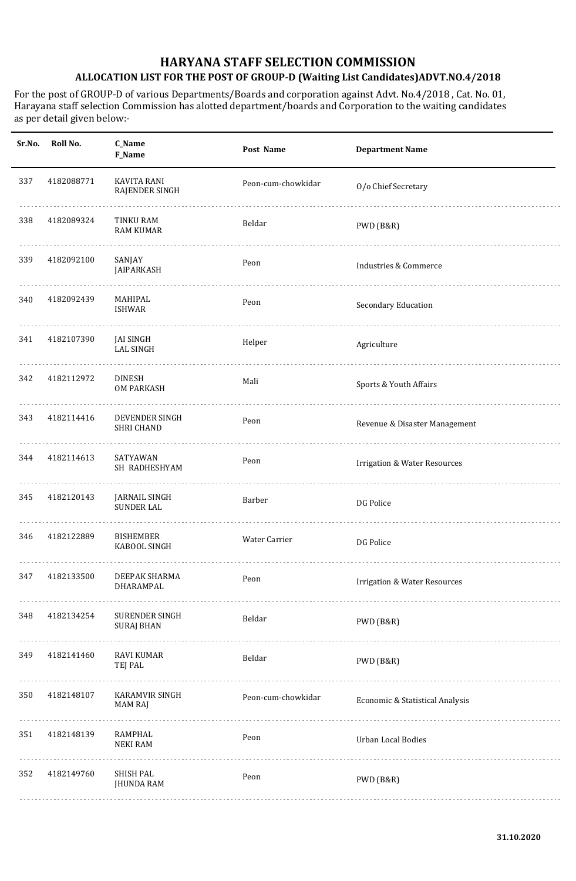| Sr.No. | Roll No.   | C_Name<br>F_Name                     | Post Name          | <b>Department Name</b>                  |
|--------|------------|--------------------------------------|--------------------|-----------------------------------------|
| 337    | 4182088771 | KAVITA RANI<br>RAJENDER SINGH        | Peon-cum-chowkidar | O/o Chief Secretary                     |
| 338    | 4182089324 | TINKU RAM<br><b>RAM KUMAR</b>        | Beldar             | PWD (B&R)                               |
| 339    | 4182092100 | SANJAY<br>JAIPARKASH                 | Peon               | Industries & Commerce                   |
| 340    | 4182092439 | MAHIPAL<br>ISHWAR                    | Peon               | Secondary Education                     |
| 341    | 4182107390 | <b>JAI SINGH</b><br><b>LAL SINGH</b> | Helper             | Agriculture                             |
| 342    | 4182112972 | <b>DINESH</b><br><b>OM PARKASH</b>   | Mali               | Sports & Youth Affairs                  |
| 343    | 4182114416 | DEVENDER SINGH<br><b>SHRI CHAND</b>  | Peon               | Revenue & Disaster Management           |
| 344    | 4182114613 | SATYAWAN<br>SH RADHESHYAM            | Peon               | <b>Irrigation &amp; Water Resources</b> |
| 345    | 4182120143 | JARNAIL SINGH<br><b>SUNDER LAL</b>   | Barber             | DG Police                               |
| 346    | 4182122889 | <b>BISHEMBER</b><br>KABOOL SINGH     | Water Carrier      | DG Police                               |
| 347    | 4182133500 | DEEPAK SHARMA<br>DHARAMPAL           | Peon               | <b>Irrigation &amp; Water Resources</b> |
| 348    | 4182134254 | SURENDER SINGH<br><b>SURAJ BHAN</b>  | Beldar             | PWD (B&R)                               |
| 349    | 4182141460 | <b>RAVI KUMAR</b><br>TEJ PAL         | Beldar             | PWD (B&R)                               |
| 350    | 4182148107 | KARAMVIR SINGH<br><b>MAM RAJ</b>     | Peon-cum-chowkidar | Economic & Statistical Analysis         |
| 351    | 4182148139 | RAMPHAL<br><b>NEKI RAM</b>           | Peon               | Urban Local Bodies                      |
| 352    | 4182149760 | SHISH PAL<br><b>JHUNDA RAM</b>       | Peon               | PWD (B&R)                               |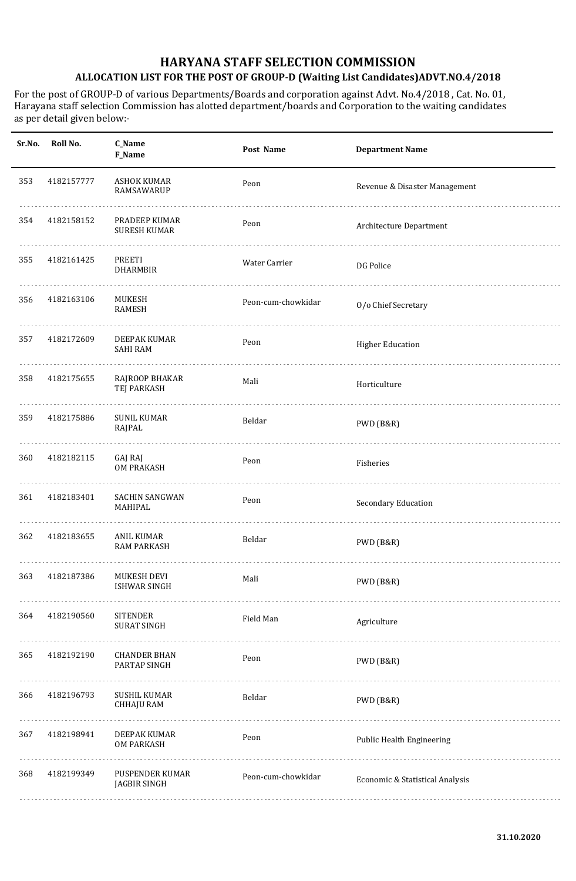| Sr.No. | Roll No.   | C_Name<br>F_Name                         | Post Name          | <b>Department Name</b>          |
|--------|------------|------------------------------------------|--------------------|---------------------------------|
| 353    | 4182157777 | <b>ASHOK KUMAR</b><br>RAMSAWARUP         | Peon               | Revenue & Disaster Management   |
| 354    | 4182158152 | PRADEEP KUMAR<br><b>SURESH KUMAR</b>     | Peon               | Architecture Department         |
| 355    | 4182161425 | PREETI<br><b>DHARMBIR</b>                | Water Carrier      | DG Police                       |
| 356    | 4182163106 | MUKESH<br><b>RAMESH</b>                  | Peon-cum-chowkidar | O/o Chief Secretary             |
| 357    | 4182172609 | DEEPAK KUMAR<br><b>SAHI RAM</b>          | Peon               | <b>Higher Education</b>         |
| 358    | 4182175655 | RAJROOP BHAKAR<br>TEJ PARKASH            | Mali               | Horticulture                    |
| 359    | 4182175886 | <b>SUNIL KUMAR</b><br>RAJPAL             | Beldar             | PWD (B&R)                       |
| 360    | 4182182115 | GAJ RAJ<br><b>OM PRAKASH</b>             | Peon               | Fisheries                       |
| 361    | 4182183401 | <b>SACHIN SANGWAN</b><br>MAHIPAL         | Peon               | Secondary Education             |
| 362    | 4182183655 | <b>ANIL KUMAR</b><br><b>RAM PARKASH</b>  | Beldar             | PWD (B&R)                       |
| 363    | 4182187386 | MUKESH DEVI<br><b>ISHWAR SINGH</b>       | Mali               | PWD (B&R)                       |
| 364    | 4182190560 | <b>SITENDER</b><br><b>SURAT SINGH</b>    | Field Man          | Agriculture                     |
| 365    | 4182192190 | <b>CHANDER BHAN</b><br>PARTAP SINGH      | Peon               | PWD (B&R)                       |
| 366    | 4182196793 | <b>SUSHIL KUMAR</b><br><b>CHHAJU RAM</b> | Beldar             | PWD (B&R)                       |
| 367    | 4182198941 | DEEPAK KUMAR<br><b>OM PARKASH</b>        | Peon               | Public Health Engineering       |
| 368    | 4182199349 | PUSPENDER KUMAR<br>JAGBIR SINGH          | Peon-cum-chowkidar | Economic & Statistical Analysis |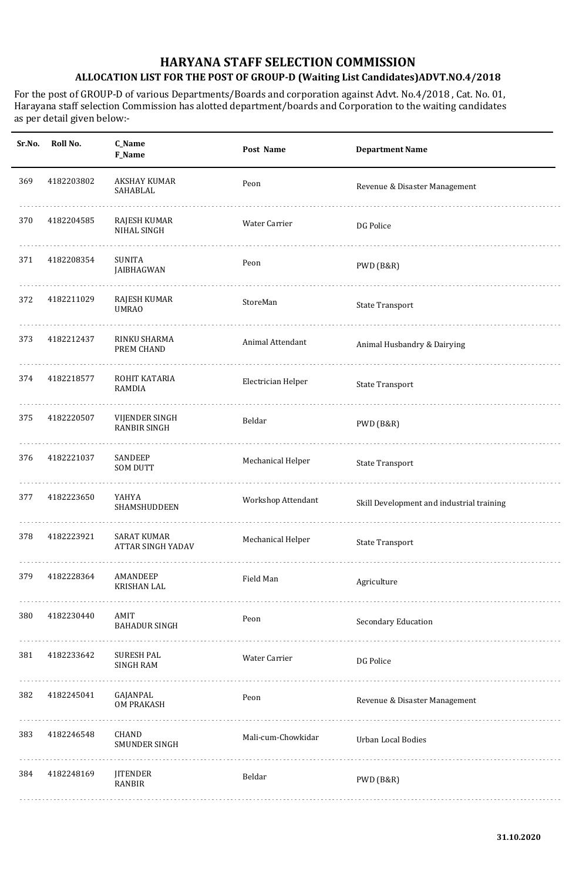| Sr.No. | Roll No.   | C_Name<br>F_Name                               | Post Name            | <b>Department Name</b>                    |
|--------|------------|------------------------------------------------|----------------------|-------------------------------------------|
| 369    | 4182203802 | AKSHAY KUMAR<br>SAHABLAL                       | Peon                 | Revenue & Disaster Management             |
| 370    | 4182204585 | RAJESH KUMAR<br>NIHAL SINGH                    | <b>Water Carrier</b> | DG Police                                 |
| 371    | 4182208354 | <b>SUNITA</b><br>JAIBHAGWAN                    | Peon                 | PWD (B&R)                                 |
| 372    | 4182211029 | RAJESH KUMAR<br><b>UMRAO</b>                   | StoreMan             | <b>State Transport</b>                    |
| 373    | 4182212437 | RINKU SHARMA<br>PREM CHAND                     | Animal Attendant     | Animal Husbandry & Dairying               |
| 374    | 4182218577 | ROHIT KATARIA<br><b>RAMDIA</b>                 | Electrician Helper   | <b>State Transport</b>                    |
| 375    | 4182220507 | VIJENDER SINGH<br><b>RANBIR SINGH</b>          | Beldar               | PWD (B&R)                                 |
| 376    | 4182221037 | SANDEEP<br><b>SOM DUTT</b>                     | Mechanical Helper    | <b>State Transport</b>                    |
| 377    | 4182223650 | YAHYA<br><b>SHAMSHUDDEEN</b>                   | Workshop Attendant   | Skill Development and industrial training |
| 378    | 4182223921 | <b>SARAT KUMAR</b><br><b>ATTAR SINGH YADAV</b> | Mechanical Helper    | <b>State Transport</b>                    |
| 379    | 4182228364 | AMANDEEP<br><b>KRISHAN LAL</b>                 | Field Man            | Agriculture                               |
| 380    | 4182230440 | AMIT<br><b>BAHADUR SINGH</b>                   | Peon                 | Secondary Education                       |
| 381    | 4182233642 | <b>SURESH PAL</b><br><b>SINGH RAM</b>          | Water Carrier        | DG Police                                 |
| 382    | 4182245041 | GAJANPAL<br><b>OM PRAKASH</b>                  | Peon                 | Revenue & Disaster Management             |
| 383    | 4182246548 | CHAND<br>SMUNDER SINGH                         | Mali-cum-Chowkidar   | Urban Local Bodies                        |
| 384    | 4182248169 | <b>JITENDER</b><br>RANBIR                      | Beldar               | PWD (B&R)                                 |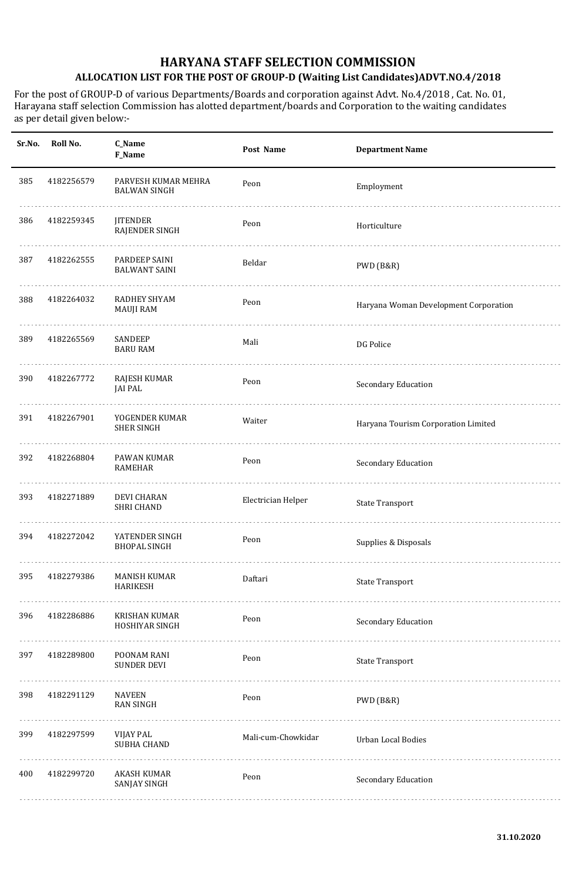| Sr.No. | Roll No.   | C_Name<br>F_Name                           | Post Name          | <b>Department Name</b>                |
|--------|------------|--------------------------------------------|--------------------|---------------------------------------|
| 385    | 4182256579 | PARVESH KUMAR MEHRA<br><b>BALWAN SINGH</b> | Peon               | Employment                            |
| 386    | 4182259345 | <b>JITENDER</b><br>RAJENDER SINGH          | Peon               | Horticulture                          |
| 387    | 4182262555 | PARDEEP SAINI<br><b>BALWANT SAINI</b>      | Beldar             | PWD (B&R)                             |
| 388    | 4182264032 | RADHEY SHYAM<br><b>MAUJI RAM</b>           | Peon               | Haryana Woman Development Corporation |
| 389    | 4182265569 | SANDEEP<br><b>BARU RAM</b>                 | Mali               | DG Police                             |
| 390    | 4182267772 | RAJESH KUMAR<br><b>JAI PAL</b>             | Peon               | Secondary Education                   |
| 391    | 4182267901 | YOGENDER KUMAR<br><b>SHER SINGH</b>        | Waiter             | Haryana Tourism Corporation Limited   |
| 392    | 4182268804 | PAWAN KUMAR<br><b>RAMEHAR</b>              | Peon               | Secondary Education                   |
| 393    | 4182271889 | <b>DEVI CHARAN</b><br><b>SHRI CHAND</b>    | Electrician Helper | <b>State Transport</b>                |
| 394    | 4182272042 | YATENDER SINGH<br><b>BHOPAL SINGH</b>      | Peon               | Supplies & Disposals                  |
| 395    | 4182279386 | MANISH KUMAR<br><b>HARIKESH</b>            | Daftari            | <b>State Transport</b>                |
| 396    | 4182286886 | KRISHAN KUMAR<br>HOSHIYAR SINGH            | Peon               | Secondary Education                   |
| 397    | 4182289800 | POONAM RANI<br><b>SUNDER DEVI</b>          | Peon               | <b>State Transport</b>                |
| 398    | 4182291129 | <b>NAVEEN</b><br><b>RAN SINGH</b>          | Peon               | PWD (B&R)                             |
| 399    | 4182297599 | VIJAY PAL<br>SUBHA CHAND                   | Mali-cum-Chowkidar | Urban Local Bodies                    |
| 400    | 4182299720 | AKASH KUMAR<br>SANJAY SINGH                | Peon               | Secondary Education                   |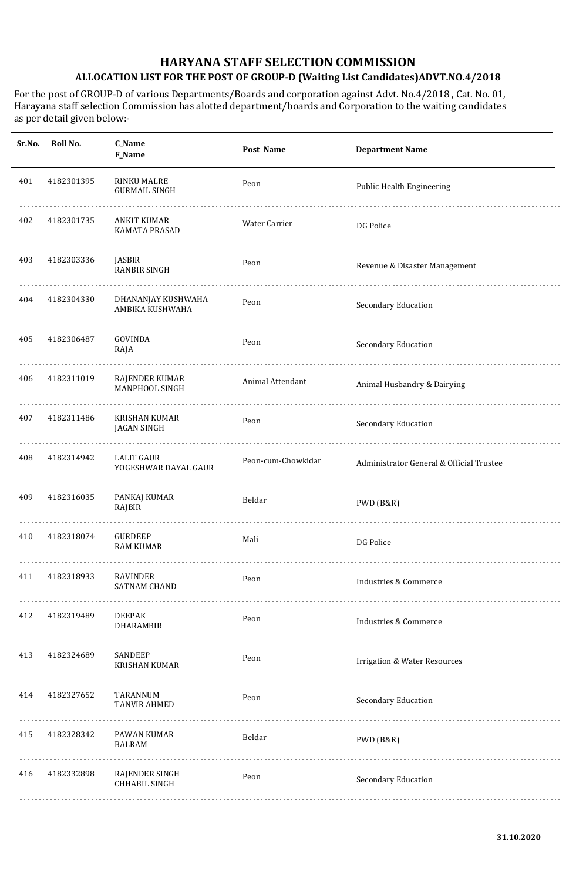| Sr.No. | Roll No.   | C_Name<br>F_Name                           | Post Name          | <b>Department Name</b>                   |
|--------|------------|--------------------------------------------|--------------------|------------------------------------------|
| 401    | 4182301395 | <b>RINKU MALRE</b><br><b>GURMAIL SINGH</b> | Peon               | Public Health Engineering                |
| 402    | 4182301735 | ANKIT KUMAR<br>KAMATA PRASAD               | Water Carrier      | DG Police                                |
| 403    | 4182303336 | JASBIR<br>RANBIR SINGH                     | Peon               | Revenue & Disaster Management            |
| 404    | 4182304330 | DHANANJAY KUSHWAHA<br>AMBIKA KUSHWAHA      | Peon               | Secondary Education                      |
| 405    | 4182306487 | GOVINDA<br>RAJA                            | Peon               | Secondary Education                      |
| 406    | 4182311019 | RAJENDER KUMAR<br><b>MANPHOOL SINGH</b>    | Animal Attendant   | Animal Husbandry & Dairying              |
| 407    | 4182311486 | <b>KRISHAN KUMAR</b><br><b>JAGAN SINGH</b> | Peon               | Secondary Education                      |
| 408    | 4182314942 | <b>LALIT GAUR</b><br>YOGESHWAR DAYAL GAUR  | Peon-cum-Chowkidar | Administrator General & Official Trustee |
| 409    | 4182316035 | PANKAJ KUMAR<br>RAJBIR                     | Beldar             | PWD (B&R)                                |
| 410    | 4182318074 | <b>GURDEEP</b><br><b>RAM KUMAR</b>         | Mali               | DG Police                                |
| 411    | 4182318933 | RAVINDER<br><b>SATNAM CHAND</b>            | Peon               | <b>Industries &amp; Commerce</b>         |
| 412    | 4182319489 | <b>DEEPAK</b><br><b>DHARAMBIR</b>          | Peon               | <b>Industries &amp; Commerce</b>         |
| 413    | 4182324689 | SANDEEP<br><b>KRISHAN KUMAR</b>            | Peon               | <b>Irrigation &amp; Water Resources</b>  |
| 414    | 4182327652 | TARANNUM<br><b>TANVIR AHMED</b>            | Peon               | Secondary Education                      |
| 415    | 4182328342 | PAWAN KUMAR<br><b>BALRAM</b>               | Beldar             | PWD (B&R)                                |
| 416    | 4182332898 | RAJENDER SINGH<br>CHHABIL SINGH            | Peon               | Secondary Education                      |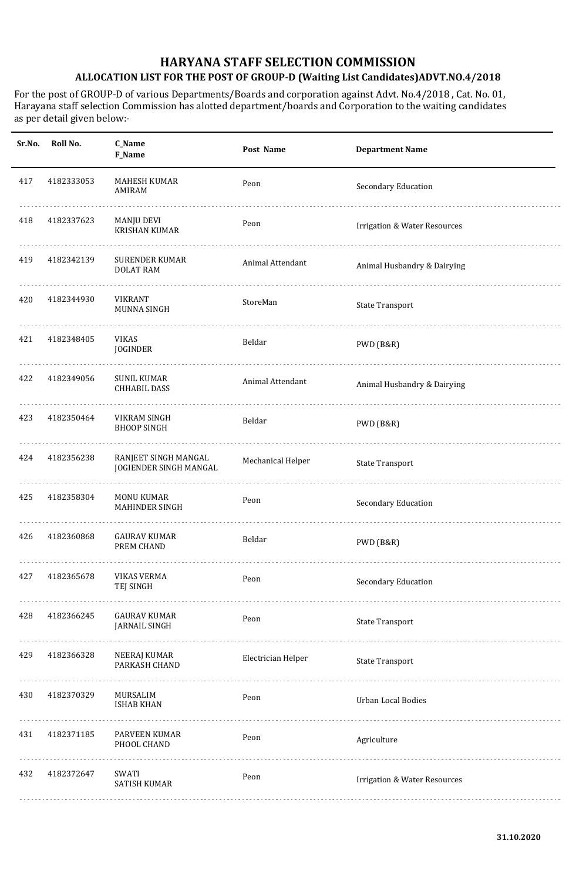| Sr.No. | Roll No.   | C_Name<br><b>F_Name</b>                        | Post Name          | <b>Department Name</b>                  |
|--------|------------|------------------------------------------------|--------------------|-----------------------------------------|
| 417    | 4182333053 | MAHESH KUMAR<br>AMIRAM                         | Peon               | Secondary Education                     |
| 418    | 4182337623 | MANJU DEVI<br><b>KRISHAN KUMAR</b>             | Peon               | <b>Irrigation &amp; Water Resources</b> |
| 419    | 4182342139 | SURENDER KUMAR<br><b>DOLAT RAM</b>             | Animal Attendant   | Animal Husbandry & Dairying             |
| 420    | 4182344930 | VIKRANT<br>MUNNA SINGH                         | StoreMan           | <b>State Transport</b>                  |
| 421    | 4182348405 | <b>VIKAS</b><br>JOGINDER                       | Beldar             | PWD (B&R)                               |
| 422    | 4182349056 | SUNIL KUMAR<br><b>CHHABIL DASS</b>             | Animal Attendant   | Animal Husbandry & Dairying             |
| 423    | 4182350464 | <b>VIKRAM SINGH</b><br><b>BHOOP SINGH</b>      | Beldar             | PWD (B&R)                               |
| 424    | 4182356238 | RANJEET SINGH MANGAL<br>JOGIENDER SINGH MANGAL | Mechanical Helper  | <b>State Transport</b>                  |
| 425    | 4182358304 | MONU KUMAR<br><b>MAHINDER SINGH</b>            | Peon               | Secondary Education                     |
| 426    | 4182360868 | <b>GAURAV KUMAR</b><br>PREM CHAND              | Beldar             | PWD (B&R)                               |
| 427    | 4182365678 | <b>VIKAS VERMA</b><br>TEJ SINGH                | Peon               | Secondary Education                     |
| 428    | 4182366245 | <b>GAURAV KUMAR</b><br><b>JARNAIL SINGH</b>    | Peon               | <b>State Transport</b>                  |
| 429    | 4182366328 | NEERAJ KUMAR<br>PARKASH CHAND                  | Electrician Helper | <b>State Transport</b>                  |
| 430    | 4182370329 | MURSALIM<br><b>ISHAB KHAN</b>                  | Peon               | <b>Urban Local Bodies</b>               |
| 431    | 4182371185 | <b>PARVEEN KUMAR</b><br>PHOOL CHAND            | Peon               | Agriculture                             |
| 432    | 4182372647 | SWATI<br>SATISH KUMAR                          | Peon               | <b>Irrigation &amp; Water Resources</b> |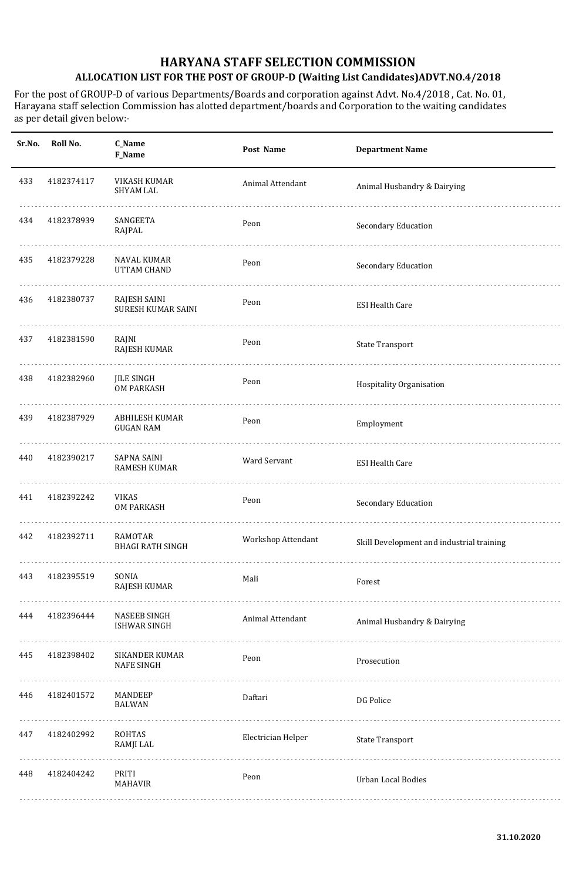| Sr.No. | Roll No.   | C_Name<br>F_Name                           | Post Name          | <b>Department Name</b>                    |
|--------|------------|--------------------------------------------|--------------------|-------------------------------------------|
| 433    | 4182374117 | VIKASH KUMAR<br>SHYAM LAL                  | Animal Attendant   | Animal Husbandry & Dairying               |
| 434    | 4182378939 | SANGEETA<br>RAJPAL                         | Peon               | Secondary Education                       |
| 435    | 4182379228 | NAVAL KUMAR<br>UTTAM CHAND                 | Peon               | Secondary Education                       |
| 436    | 4182380737 | RAJESH SAINI<br>SURESH KUMAR SAINI         | Peon               | <b>ESI Health Care</b>                    |
| 437    | 4182381590 | RAJNI<br>RAJESH KUMAR                      | Peon               | <b>State Transport</b>                    |
| 438    | 4182382960 | <b>JILE SINGH</b><br><b>OM PARKASH</b>     | Peon               | Hospitality Organisation                  |
| 439    | 4182387929 | ABHILESH KUMAR<br><b>GUGAN RAM</b>         | Peon               | Employment                                |
| 440    | 4182390217 | SAPNA SAINI<br><b>RAMESH KUMAR</b>         | Ward Servant       | <b>ESI Health Care</b>                    |
| 441    | 4182392242 | <b>VIKAS</b><br><b>OM PARKASH</b>          | Peon               | Secondary Education                       |
| 442    | 4182392711 | <b>RAMOTAR</b><br><b>BHAGI RATH SINGH</b>  | Workshop Attendant | Skill Development and industrial training |
| 443    | 4182395519 | SONIA<br>RAJESH KUMAR                      | Mali               | Forest                                    |
| 444    | 4182396444 | <b>NASEEB SINGH</b><br><b>ISHWAR SINGH</b> | Animal Attendant   | Animal Husbandry & Dairying               |
| 445    | 4182398402 | SIKANDER KUMAR<br><b>NAFE SINGH</b>        | Peon               | Prosecution                               |
| 446    | 4182401572 | MANDEEP<br><b>BALWAN</b>                   | Daftari            | DG Police                                 |
| 447    | 4182402992 | ROHTAS<br>RAMJI LAL                        | Electrician Helper | <b>State Transport</b>                    |
| 448    | 4182404242 | PRITI<br><b>MAHAVIR</b>                    | Peon               | Urban Local Bodies                        |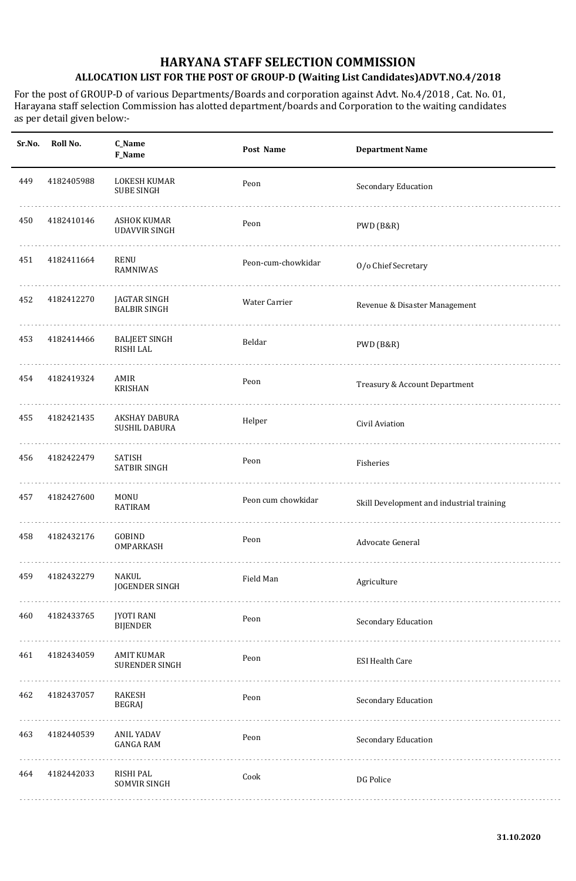| Sr.No. | Roll No.   | C_Name<br>F_Name                           | Post Name          | <b>Department Name</b>                    |
|--------|------------|--------------------------------------------|--------------------|-------------------------------------------|
| 449    | 4182405988 | LOKESH KUMAR<br><b>SUBE SINGH</b>          | Peon               | Secondary Education                       |
| 450    | 4182410146 | ASHOK KUMAR<br><b>UDAVVIR SINGH</b>        | Peon               | PWD (B&R)                                 |
| 451    | 4182411664 | RENU<br>RAMNIWAS                           | Peon-cum-chowkidar | O/o Chief Secretary                       |
| 452    | 4182412270 | JAGTAR SINGH<br><b>BALBIR SINGH</b>        | Water Carrier      | Revenue & Disaster Management             |
| 453    | 4182414466 | <b>BALJEET SINGH</b><br>RISHI LAL          | Beldar             | PWD (B&R)                                 |
| 454    | 4182419324 | AMIR<br><b>KRISHAN</b>                     | Peon               | Treasury & Account Department             |
| 455    | 4182421435 | AKSHAY DABURA<br><b>SUSHIL DABURA</b>      | Helper             | Civil Aviation                            |
| 456    | 4182422479 | SATISH<br>SATBIR SINGH                     | Peon               | Fisheries                                 |
| 457    | 4182427600 | <b>MONU</b><br><b>RATIRAM</b>              | Peon cum chowkidar | Skill Development and industrial training |
| 458    | 4182432176 | GOBIND<br>OMPARKASH                        | Peon               | Advocate General                          |
| 459    | 4182432279 | NAKUL<br><b>JOGENDER SINGH</b>             | Field Man          | Agriculture                               |
| 460    | 4182433765 | <b>JYOTI RANI</b><br><b>BIJENDER</b>       | Peon               | Secondary Education                       |
| 461    | 4182434059 | <b>AMIT KUMAR</b><br><b>SURENDER SINGH</b> | Peon               | <b>ESI Health Care</b>                    |
| 462    | 4182437057 | <b>RAKESH</b><br><b>BEGRAJ</b>             | Peon               | Secondary Education                       |
| 463    | 4182440539 | ANIL YADAV<br><b>GANGA RAM</b>             | Peon               | Secondary Education                       |
| 464    | 4182442033 | RISHI PAL<br>SOMVIR SINGH                  | Cook               | DG Police                                 |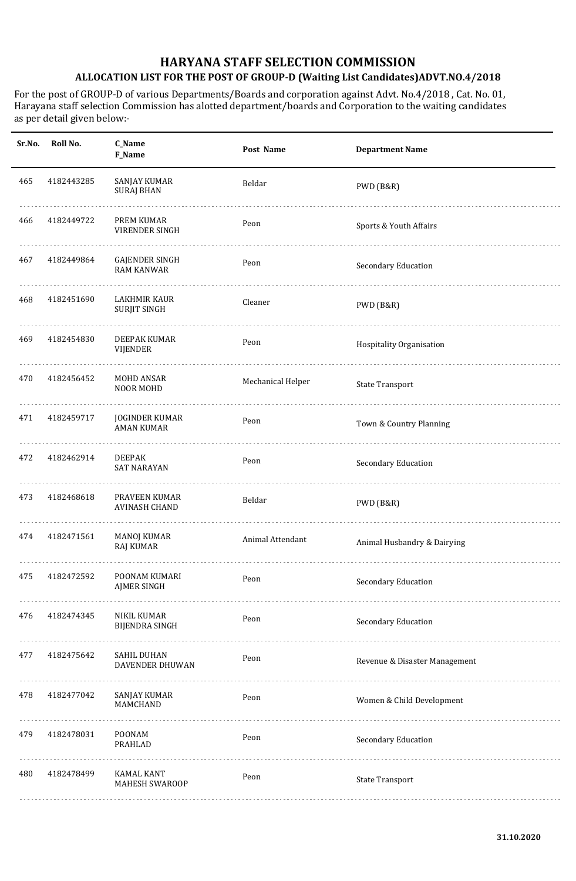| Sr.No. | Roll No.   | C_Name<br>F_Name                             | Post Name         | <b>Department Name</b>        |
|--------|------------|----------------------------------------------|-------------------|-------------------------------|
| 465    | 4182443285 | SANJAY KUMAR<br><b>SURAJ BHAN</b>            | Beldar            | PWD (B&R)                     |
| 466    | 4182449722 | PREM KUMAR<br><b>VIRENDER SINGH</b>          | Peon              | Sports & Youth Affairs        |
| 467    | 4182449864 | <b>GAJENDER SINGH</b><br><b>RAM KANWAR</b>   | Peon              | Secondary Education           |
| 468    | 4182451690 | LAKHMIR KAUR<br><b>SURJIT SINGH</b>          | Cleaner           | PWD (B&R)                     |
| 469    | 4182454830 | DEEPAK KUMAR<br>VIJENDER                     | Peon              | Hospitality Organisation      |
| 470    | 4182456452 | MOHD ANSAR<br>NOOR MOHD                      | Mechanical Helper | <b>State Transport</b>        |
| 471    | 4182459717 | <b>JOGINDER KUMAR</b><br><b>AMAN KUMAR</b>   | Peon              | Town & Country Planning       |
| 472    | 4182462914 | <b>DEEPAK</b><br><b>SAT NARAYAN</b>          | Peon              | Secondary Education           |
| 473    | 4182468618 | PRAVEEN KUMAR<br><b>AVINASH CHAND</b>        | Beldar            | PWD (B&R)                     |
| 474    | 4182471561 | <b>MANOJ KUMAR</b><br>RAJ KUMAR              | Animal Attendant  | Animal Husbandry & Dairying   |
| 475    | 4182472592 | POONAM KUMARI<br><b>AJMER SINGH</b>          | Peon              | Secondary Education           |
| 476    | 4182474345 | NIKIL KUMAR<br><b>BIJENDRA SINGH</b>         | Peon              | Secondary Education           |
| 477    | 4182475642 | <b>SAHIL DUHAN</b><br><b>DAVENDER DHUWAN</b> | Peon              | Revenue & Disaster Management |
| 478    | 4182477042 | SANJAY KUMAR<br>MAMCHAND                     | Peon              | Women & Child Development     |
| 479    | 4182478031 | POONAM<br>PRAHLAD                            | Peon              | Secondary Education           |
| 480    | 4182478499 | <b>KAMAL KANT</b><br>MAHESH SWAROOP          | Peon              | <b>State Transport</b>        |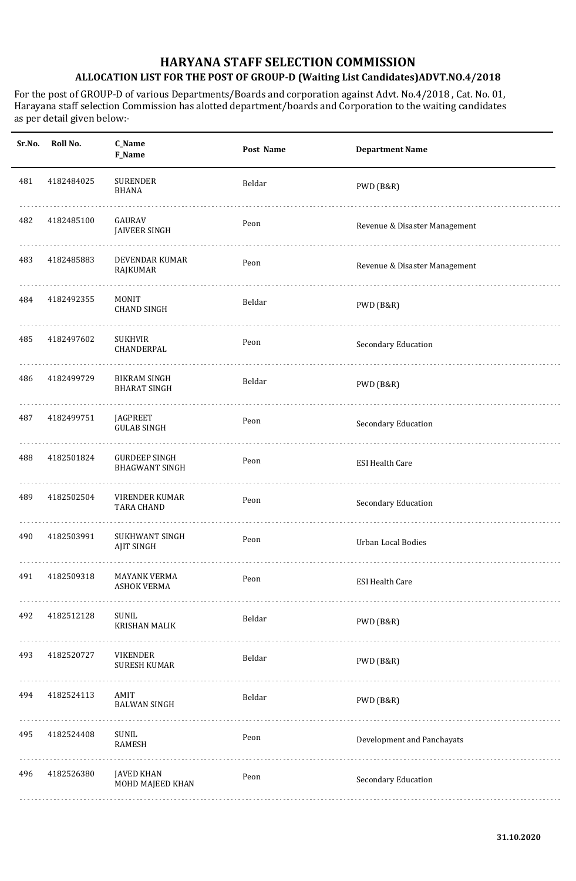| Sr.No. | Roll No.   | C_Name<br>F_Name                              | Post Name | <b>Department Name</b>        |
|--------|------------|-----------------------------------------------|-----------|-------------------------------|
| 481    | 4182484025 | <b>SURENDER</b><br><b>BHANA</b>               | Beldar    | PWD (B&R)                     |
| 482    | 4182485100 | GAURAV<br><b>JAIVEER SINGH</b>                | Peon      | Revenue & Disaster Management |
| 483    | 4182485883 | DEVENDAR KUMAR<br>RAJKUMAR                    | Peon      | Revenue & Disaster Management |
| 484    | 4182492355 | <b>MONIT</b><br><b>CHAND SINGH</b>            | Beldar    | PWD (B&R)                     |
| 485    | 4182497602 | <b>SUKHVIR</b><br>CHANDERPAL                  | Peon      | Secondary Education           |
| 486    | 4182499729 | <b>BIKRAM SINGH</b><br><b>BHARAT SINGH</b>    | Beldar    | PWD (B&R)                     |
| 487    | 4182499751 | <b>JAGPREET</b><br><b>GULAB SINGH</b>         | Peon      | Secondary Education           |
| 488    | 4182501824 | <b>GURDEEP SINGH</b><br><b>BHAGWANT SINGH</b> | Peon      | <b>ESI Health Care</b>        |
| 489    | 4182502504 | <b>VIRENDER KUMAR</b><br><b>TARA CHAND</b>    | Peon      | Secondary Education           |
| 490    | 4182503991 | <b>SUKHWANT SINGH</b><br><b>AJIT SINGH</b>    | Peon      | <b>Urban Local Bodies</b>     |
| 491    | 4182509318 | MAYANK VERMA<br><b>ASHOK VERMA</b>            | Peon      | <b>ESI Health Care</b>        |
| 492    | 4182512128 | SUNIL<br>KRISHAN MALIK                        | Beldar    | PWD (B&R)                     |
| 493    | 4182520727 | <b>VIKENDER</b><br><b>SURESH KUMAR</b>        | Beldar    | PWD (B&R)                     |
| 494    | 4182524113 | AMIT<br><b>BALWAN SINGH</b>                   | Beldar    | PWD (B&R)                     |
| 495    | 4182524408 | SUNIL<br><b>RAMESH</b>                        | Peon      | Development and Panchayats    |
| 496    | 4182526380 | <b>JAVED KHAN</b><br>MOHD MAJEED KHAN         | Peon      | Secondary Education           |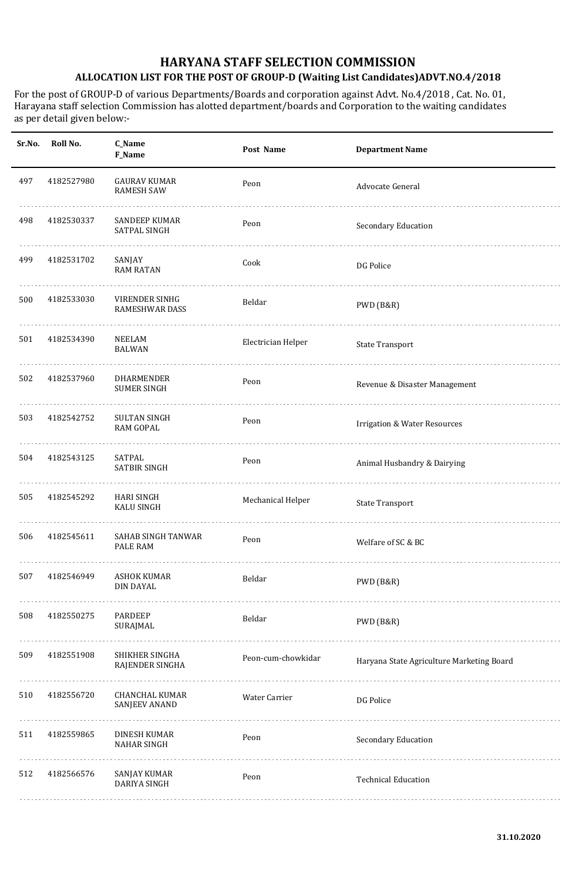| Sr.No. | Roll No.   | C_Name<br>F_Name                              | Post Name          | <b>Department Name</b>                    |
|--------|------------|-----------------------------------------------|--------------------|-------------------------------------------|
| 497    | 4182527980 | <b>GAURAV KUMAR</b><br><b>RAMESH SAW</b>      | Peon               | Advocate General                          |
| 498    | 4182530337 | SANDEEP KUMAR<br>SATPAL SINGH                 | Peon               | Secondary Education                       |
| 499    | 4182531702 | SANJAY<br><b>RAM RATAN</b>                    | Cook               | DG Police                                 |
| 500    | 4182533030 | VIRENDER SINHG<br>RAMESHWAR DASS              | Beldar             | PWD (B&R)                                 |
| 501    | 4182534390 | <b>NEELAM</b><br><b>BALWAN</b>                | Electrician Helper | <b>State Transport</b>                    |
| 502    | 4182537960 | DHARMENDER<br><b>SUMER SINGH</b>              | Peon               | Revenue & Disaster Management             |
| 503    | 4182542752 | <b>SULTAN SINGH</b><br><b>RAM GOPAL</b>       | Peon               | <b>Irrigation &amp; Water Resources</b>   |
| 504    | 4182543125 | SATPAL<br><b>SATBIR SINGH</b>                 | Peon               | Animal Husbandry & Dairying               |
| 505    | 4182545292 | HARI SINGH<br><b>KALU SINGH</b>               | Mechanical Helper  | <b>State Transport</b>                    |
| 506    | 4182545611 | SAHAB SINGH TANWAR<br>PALE RAM                | Peon               | Welfare of SC & BC                        |
| 507    | 4182546949 | <b>ASHOK KUMAR</b><br>DIN DAYAL               | Beldar             | PWD (B&R)                                 |
| 508    | 4182550275 | PARDEEP<br>SURAJMAL                           | Beldar             | PWD (B&R)                                 |
| 509    | 4182551908 | SHIKHER SINGHA<br>RAJENDER SINGHA             | Peon-cum-chowkidar | Haryana State Agriculture Marketing Board |
| 510    | 4182556720 | <b>CHANCHAL KUMAR</b><br><b>SANJEEV ANAND</b> | Water Carrier      | DG Police                                 |
| 511    | 4182559865 | DINESH KUMAR<br><b>NAHAR SINGH</b>            | Peon               | Secondary Education                       |
| 512    | 4182566576 | <b>SANJAY KUMAR</b><br>DARIYA SINGH           | Peon               | <b>Technical Education</b>                |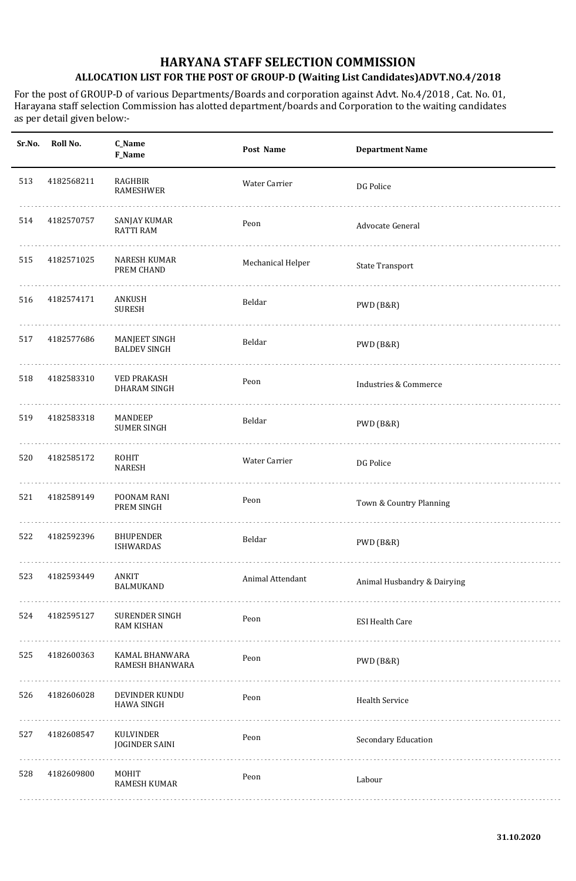| Sr.No. | Roll No.   | C_Name<br><b>F_Name</b>                     | Post Name         | <b>Department Name</b>           |
|--------|------------|---------------------------------------------|-------------------|----------------------------------|
| 513    | 4182568211 | RAGHBIR<br>RAMESHWER                        | Water Carrier     | DG Police                        |
| 514    | 4182570757 | SANJAY KUMAR<br><b>RATTI RAM</b>            | Peon              | Advocate General                 |
| 515    | 4182571025 | <b>NARESH KUMAR</b><br>PREM CHAND           | Mechanical Helper | <b>State Transport</b>           |
| 516    | 4182574171 | ANKUSH<br><b>SURESH</b>                     | Beldar            | PWD (B&R)                        |
| 517    | 4182577686 | <b>MANJEET SINGH</b><br><b>BALDEV SINGH</b> | Beldar            | PWD (B&R)                        |
| 518    | 4182583310 | <b>VED PRAKASH</b><br>DHARAM SINGH          | Peon              | <b>Industries &amp; Commerce</b> |
| 519    | 4182583318 | MANDEEP<br><b>SUMER SINGH</b>               | Beldar            | PWD (B&R)                        |
| 520    | 4182585172 | ROHIT<br><b>NARESH</b>                      | Water Carrier     | DG Police                        |
| 521    | 4182589149 | POONAM RANI<br>PREM SINGH                   | Peon              | Town & Country Planning          |
| 522    | 4182592396 | <b>BHUPENDER</b><br><b>ISHWARDAS</b>        | Beldar            | PWD (B&R)                        |
| 523    | 4182593449 | ANKIT<br>BALMUKAND                          | Animal Attendant  | Animal Husbandry & Dairying      |
| 524    | 4182595127 | <b>SURENDER SINGH</b><br><b>RAM KISHAN</b>  | Peon              | <b>ESI Health Care</b>           |
| 525    | 4182600363 | KAMAL BHANWARA<br>RAMESH BHANWARA<br>.      | Peon              | PWD (B&R)                        |
| 526    | 4182606028 | DEVINDER KUNDU<br><b>HAWA SINGH</b>         | Peon              | <b>Health Service</b>            |
| 527    | 4182608547 | KULVINDER<br><b>JOGINDER SAINI</b>          | Peon              | Secondary Education              |
| 528    | 4182609800 | MOHIT<br>RAMESH KUMAR                       | Peon              | Labour                           |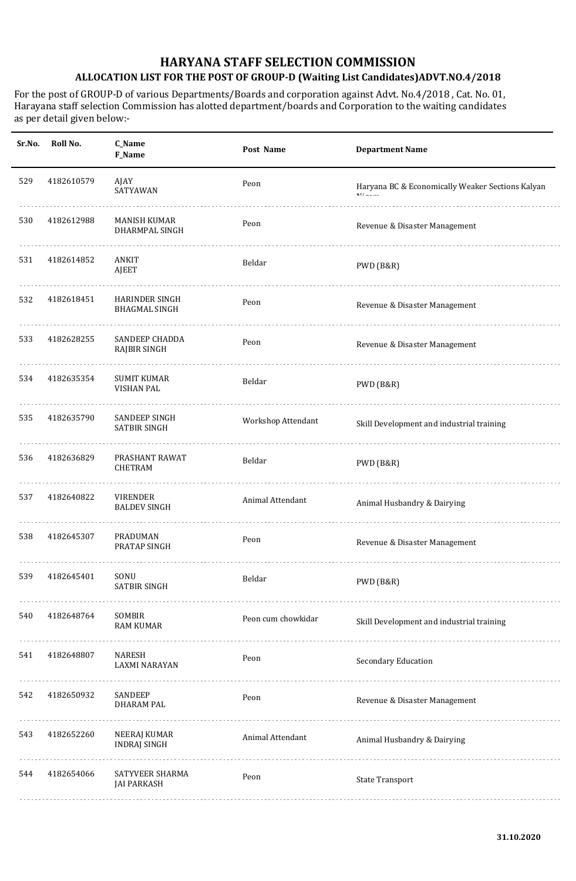| Sr.No. | Roll No.   | C_Name<br>F_Name                              | Post Name          | <b>Department Name</b>                           |
|--------|------------|-----------------------------------------------|--------------------|--------------------------------------------------|
| 529    | 4182610579 | AJAY<br>SATYAWAN                              | Peon               | Haryana BC & Economically Weaker Sections Kalyan |
| 530    | 4182612988 | <b>MANISH KUMAR</b><br><b>DHARMPAL SINGH</b>  | Peon               | Revenue & Disaster Management                    |
| 531    | 4182614852 | ANKIT<br><b>AJEET</b>                         | Beldar             | PWD (B&R)                                        |
| 532    | 4182618451 | <b>HARINDER SINGH</b><br><b>BHAGMAL SINGH</b> | Peon               | Revenue & Disaster Management                    |
| 533    | 4182628255 | <b>SANDEEP CHADDA</b><br>RAJBIR SINGH         | Peon               | Revenue & Disaster Management                    |
| 534    | 4182635354 | <b>SUMIT KUMAR</b><br><b>VISHAN PAL</b>       | Beldar             | PWD (B&R)                                        |
| 535    | 4182635790 | SANDEEP SINGH<br><b>SATBIR SINGH</b>          | Workshop Attendant | Skill Development and industrial training        |
| 536    | 4182636829 | PRASHANT RAWAT<br><b>CHETRAM</b>              | Beldar             | PWD (B&R)                                        |
| 537    | 4182640822 | <b>VIRENDER</b><br><b>BALDEV SINGH</b>        | Animal Attendant   | Animal Husbandry & Dairying                      |
| 538    | 4182645307 | <b>PRADUMAN</b><br>PRATAP SINGH               | Peon               | Revenue & Disaster Management                    |
| 539    | 4182645401 | SONU<br>SATBIR SINGH                          | Beldar             | PWD (B&R)                                        |
| 540    | 4182648764 | SOMBIR<br><b>RAM KUMAR</b>                    | Peon cum chowkidar | Skill Development and industrial training        |
| 541    | 4182648807 | NARESH<br>LAXMI NARAYAN                       | Peon               | Secondary Education                              |
| 542    | 4182650932 | SANDEEP<br><b>DHARAM PAL</b>                  | Peon               | Revenue & Disaster Management                    |
| 543    | 4182652260 | NEERAJ KUMAR<br><b>INDRAJ SINGH</b>           | Animal Attendant   | Animal Husbandry & Dairying                      |
| 544    | 4182654066 | SATYVEER SHARMA<br><b>JAI PARKASH</b>         | Peon               | <b>State Transport</b>                           |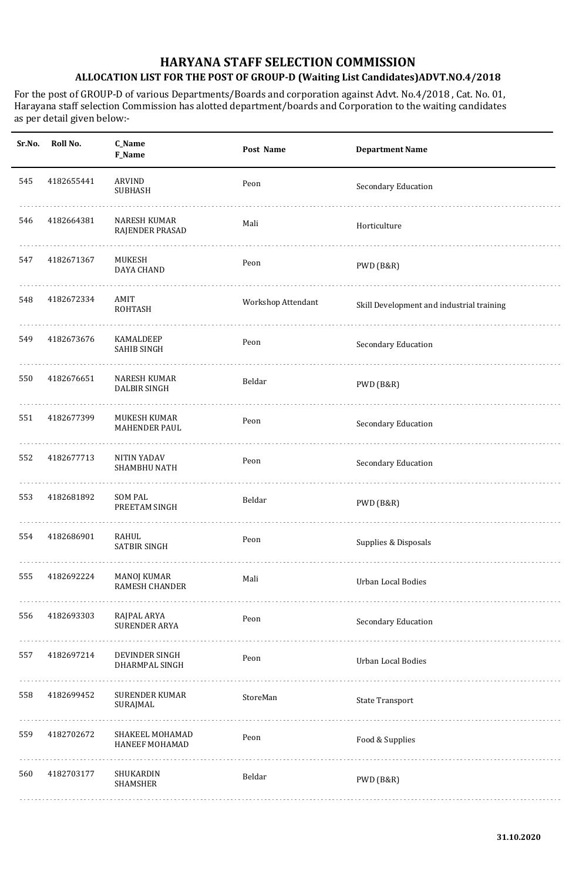| Sr.No. | Roll No.   | C_Name<br>F_Name                            | Post Name          | <b>Department Name</b>                    |
|--------|------------|---------------------------------------------|--------------------|-------------------------------------------|
| 545    | 4182655441 | ARVIND<br><b>SUBHASH</b>                    | Peon               | Secondary Education                       |
| 546    | 4182664381 | <b>NARESH KUMAR</b><br>RAJENDER PRASAD      | Mali               | Horticulture                              |
| 547    | 4182671367 | MUKESH<br><b>DAYA CHAND</b>                 | Peon               | PWD (B&R)                                 |
| 548    | 4182672334 | AMIT<br>ROHTASH                             | Workshop Attendant | Skill Development and industrial training |
| 549    | 4182673676 | KAMALDEEP<br><b>SAHIB SINGH</b>             | Peon               | Secondary Education                       |
| 550    | 4182676651 | <b>NARESH KUMAR</b><br><b>DALBIR SINGH</b>  | Beldar             | PWD (B&R)                                 |
| 551    | 4182677399 | MUKESH KUMAR<br><b>MAHENDER PAUL</b>        | Peon               | Secondary Education                       |
| 552    | 4182677713 | <b>NITIN YADAV</b><br>SHAMBHU NATH          | Peon               | Secondary Education                       |
| 553    | 4182681892 | <b>SOM PAL</b><br>PREETAM SINGH             | Beldar             | PWD (B&R)                                 |
| 554    | 4182686901 | RAHUL<br>SATBIR SINGH                       | Peon               | Supplies & Disposals                      |
| 555    | 4182692224 | <b>MANOJ KUMAR</b><br><b>RAMESH CHANDER</b> | Mali               | Urban Local Bodies                        |
| 556    | 4182693303 | RAJPAL ARYA<br><b>SURENDER ARYA</b>         | Peon               | Secondary Education                       |
| 557    | 4182697214 | DEVINDER SINGH<br>DHARMPAL SINGH            | Peon               | Urban Local Bodies                        |
| 558    | 4182699452 | <b>SURENDER KUMAR</b><br>SURAJMAL           | StoreMan           | <b>State Transport</b>                    |
| 559    | 4182702672 | SHAKEEL MOHAMAD<br><b>HANEEF MOHAMAD</b>    | Peon               | Food & Supplies                           |
| 560    | 4182703177 | SHUKARDIN<br>SHAMSHER                       | Beldar             | PWD (B&R)                                 |